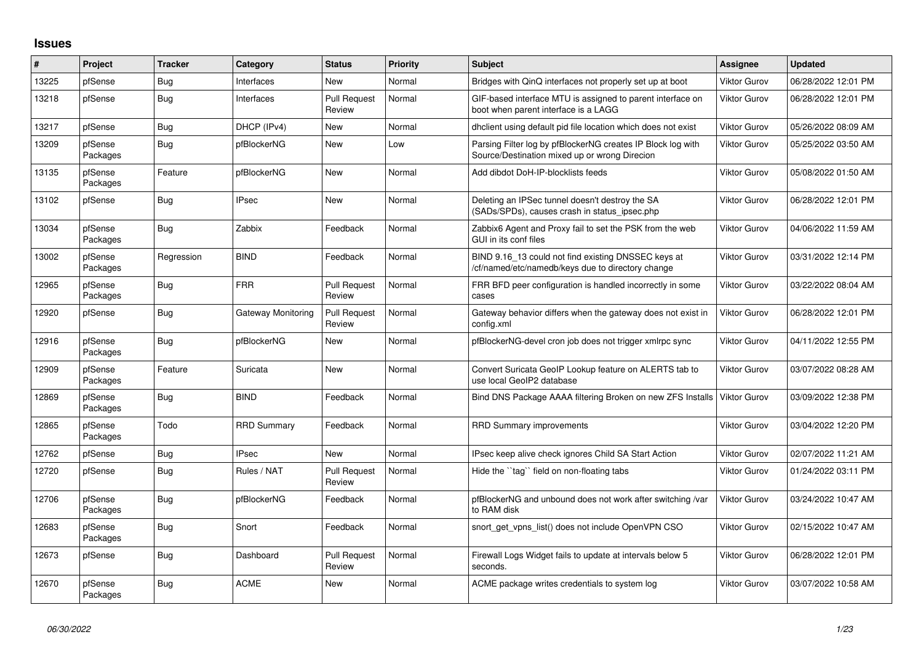## **Issues**

| $\#$  | Project             | <b>Tracker</b> | Category           | <b>Status</b>                 | <b>Priority</b> | <b>Subject</b>                                                                                               | <b>Assignee</b>     | <b>Updated</b>      |
|-------|---------------------|----------------|--------------------|-------------------------------|-----------------|--------------------------------------------------------------------------------------------------------------|---------------------|---------------------|
| 13225 | pfSense             | Bug            | Interfaces         | <b>New</b>                    | Normal          | Bridges with QinQ interfaces not properly set up at boot                                                     | <b>Viktor Gurov</b> | 06/28/2022 12:01 PM |
| 13218 | pfSense             | Bug            | Interfaces         | <b>Pull Request</b><br>Review | Normal          | GIF-based interface MTU is assigned to parent interface on<br>boot when parent interface is a LAGG           | <b>Viktor Gurov</b> | 06/28/2022 12:01 PM |
| 13217 | pfSense             | <b>Bug</b>     | DHCP (IPv4)        | New                           | Normal          | dhclient using default pid file location which does not exist                                                | <b>Viktor Gurov</b> | 05/26/2022 08:09 AM |
| 13209 | pfSense<br>Packages | <b>Bug</b>     | pfBlockerNG        | New                           | Low             | Parsing Filter log by pfBlockerNG creates IP Block log with<br>Source/Destination mixed up or wrong Direcion | <b>Viktor Gurov</b> | 05/25/2022 03:50 AM |
| 13135 | pfSense<br>Packages | Feature        | pfBlockerNG        | New                           | Normal          | Add dibdot DoH-IP-blocklists feeds                                                                           | <b>Viktor Gurov</b> | 05/08/2022 01:50 AM |
| 13102 | pfSense             | <b>Bug</b>     | <b>IPsec</b>       | New                           | Normal          | Deleting an IPSec tunnel doesn't destroy the SA<br>(SADs/SPDs), causes crash in status ipsec.php             | <b>Viktor Gurov</b> | 06/28/2022 12:01 PM |
| 13034 | pfSense<br>Packages | <b>Bug</b>     | Zabbix             | Feedback                      | Normal          | Zabbix6 Agent and Proxy fail to set the PSK from the web<br>GUI in its conf files                            | <b>Viktor Gurov</b> | 04/06/2022 11:59 AM |
| 13002 | pfSense<br>Packages | Regression     | <b>BIND</b>        | Feedback                      | Normal          | BIND 9.16 13 could not find existing DNSSEC keys at<br>cf/named/etc/namedb/keys due to directory change      | Viktor Gurov        | 03/31/2022 12:14 PM |
| 12965 | pfSense<br>Packages | Bug            | <b>FRR</b>         | <b>Pull Request</b><br>Review | Normal          | FRR BFD peer configuration is handled incorrectly in some<br>cases                                           | <b>Viktor Gurov</b> | 03/22/2022 08:04 AM |
| 12920 | pfSense             | <b>Bug</b>     | Gateway Monitoring | <b>Pull Request</b><br>Review | Normal          | Gateway behavior differs when the gateway does not exist in<br>config.xml                                    | <b>Viktor Gurov</b> | 06/28/2022 12:01 PM |
| 12916 | pfSense<br>Packages | <b>Bug</b>     | pfBlockerNG        | New                           | Normal          | pfBlockerNG-devel cron job does not trigger xmlrpc sync                                                      | <b>Viktor Gurov</b> | 04/11/2022 12:55 PM |
| 12909 | pfSense<br>Packages | Feature        | Suricata           | New                           | Normal          | Convert Suricata GeoIP Lookup feature on ALERTS tab to<br>use local GeoIP2 database                          | <b>Viktor Gurov</b> | 03/07/2022 08:28 AM |
| 12869 | pfSense<br>Packages | <b>Bug</b>     | <b>BIND</b>        | Feedback                      | Normal          | Bind DNS Package AAAA filtering Broken on new ZFS Installs                                                   | Viktor Gurov        | 03/09/2022 12:38 PM |
| 12865 | pfSense<br>Packages | Todo           | <b>RRD Summary</b> | Feedback                      | Normal          | <b>RRD Summary improvements</b>                                                                              | Viktor Gurov        | 03/04/2022 12:20 PM |
| 12762 | pfSense             | <b>Bug</b>     | <b>IPsec</b>       | <b>New</b>                    | Normal          | IPsec keep alive check ignores Child SA Start Action                                                         | <b>Viktor Gurov</b> | 02/07/2022 11:21 AM |
| 12720 | pfSense             | Bug            | Rules / NAT        | <b>Pull Request</b><br>Review | Normal          | Hide the "tag" field on non-floating tabs                                                                    | <b>Viktor Gurov</b> | 01/24/2022 03:11 PM |
| 12706 | pfSense<br>Packages | <b>Bug</b>     | pfBlockerNG        | Feedback                      | Normal          | pfBlockerNG and unbound does not work after switching /var<br>to RAM disk                                    | Viktor Gurov        | 03/24/2022 10:47 AM |
| 12683 | pfSense<br>Packages | <b>Bug</b>     | Snort              | Feedback                      | Normal          | snort get vpns list() does not include OpenVPN CSO                                                           | <b>Viktor Gurov</b> | 02/15/2022 10:47 AM |
| 12673 | pfSense             | <b>Bug</b>     | Dashboard          | <b>Pull Request</b><br>Review | Normal          | Firewall Logs Widget fails to update at intervals below 5<br>seconds.                                        | Viktor Gurov        | 06/28/2022 12:01 PM |
| 12670 | pfSense<br>Packages | <b>Bug</b>     | <b>ACME</b>        | New                           | Normal          | ACME package writes credentials to system log                                                                | <b>Viktor Gurov</b> | 03/07/2022 10:58 AM |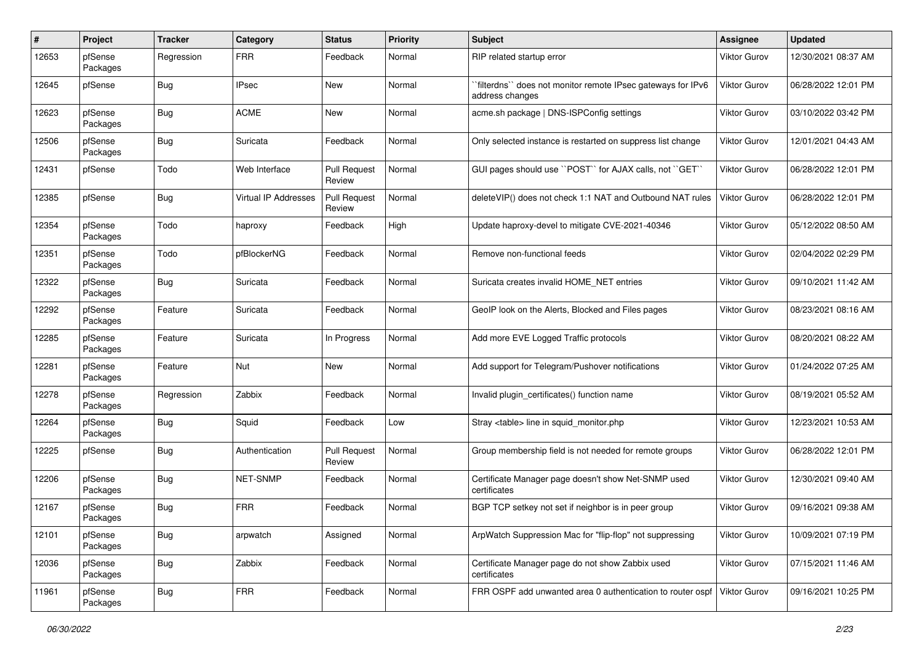| #     | Project             | <b>Tracker</b> | Category                    | <b>Status</b>                 | <b>Priority</b> | <b>Subject</b>                                                                  | Assignee            | <b>Updated</b>      |
|-------|---------------------|----------------|-----------------------------|-------------------------------|-----------------|---------------------------------------------------------------------------------|---------------------|---------------------|
| 12653 | pfSense<br>Packages | Regression     | <b>FRR</b>                  | Feedback                      | Normal          | RIP related startup error                                                       | <b>Viktor Gurov</b> | 12/30/2021 08:37 AM |
| 12645 | pfSense             | Bug            | <b>IPsec</b>                | New                           | Normal          | `filterdns`` does not monitor remote IPsec gateways for IPv6<br>address changes | Viktor Gurov        | 06/28/2022 12:01 PM |
| 12623 | pfSense<br>Packages | Bug            | <b>ACME</b>                 | New                           | Normal          | acme.sh package   DNS-ISPConfig settings                                        | <b>Viktor Gurov</b> | 03/10/2022 03:42 PM |
| 12506 | pfSense<br>Packages | Bug            | Suricata                    | Feedback                      | Normal          | Only selected instance is restarted on suppress list change                     | Viktor Gurov        | 12/01/2021 04:43 AM |
| 12431 | pfSense             | Todo           | Web Interface               | <b>Pull Request</b><br>Review | Normal          | GUI pages should use "POST" for AJAX calls, not "GET"                           | <b>Viktor Gurov</b> | 06/28/2022 12:01 PM |
| 12385 | pfSense             | Bug            | <b>Virtual IP Addresses</b> | <b>Pull Request</b><br>Review | Normal          | deleteVIP() does not check 1:1 NAT and Outbound NAT rules                       | <b>Viktor Gurov</b> | 06/28/2022 12:01 PM |
| 12354 | pfSense<br>Packages | Todo           | haproxy                     | Feedback                      | High            | Update haproxy-devel to mitigate CVE-2021-40346                                 | <b>Viktor Gurov</b> | 05/12/2022 08:50 AM |
| 12351 | pfSense<br>Packages | Todo           | pfBlockerNG                 | Feedback                      | Normal          | Remove non-functional feeds                                                     | <b>Viktor Gurov</b> | 02/04/2022 02:29 PM |
| 12322 | pfSense<br>Packages | Bug            | Suricata                    | Feedback                      | Normal          | Suricata creates invalid HOME NET entries                                       | Viktor Gurov        | 09/10/2021 11:42 AM |
| 12292 | pfSense<br>Packages | Feature        | Suricata                    | Feedback                      | Normal          | GeoIP look on the Alerts, Blocked and Files pages                               | Viktor Gurov        | 08/23/2021 08:16 AM |
| 12285 | pfSense<br>Packages | Feature        | Suricata                    | In Progress                   | Normal          | Add more EVE Logged Traffic protocols                                           | <b>Viktor Gurov</b> | 08/20/2021 08:22 AM |
| 12281 | pfSense<br>Packages | Feature        | Nut                         | <b>New</b>                    | Normal          | Add support for Telegram/Pushover notifications                                 | Viktor Gurov        | 01/24/2022 07:25 AM |
| 12278 | pfSense<br>Packages | Regression     | Zabbix                      | Feedback                      | Normal          | Invalid plugin_certificates() function name                                     | <b>Viktor Gurov</b> | 08/19/2021 05:52 AM |
| 12264 | pfSense<br>Packages | Bug            | Squid                       | Feedback                      | Low             | Stray <table> line in squid monitor.php</table>                                 | Viktor Gurov        | 12/23/2021 10:53 AM |
| 12225 | pfSense             | Bug            | Authentication              | <b>Pull Request</b><br>Review | Normal          | Group membership field is not needed for remote groups                          | <b>Viktor Gurov</b> | 06/28/2022 12:01 PM |
| 12206 | pfSense<br>Packages | Bug            | NET-SNMP                    | Feedback                      | Normal          | Certificate Manager page doesn't show Net-SNMP used<br>certificates             | Viktor Gurov        | 12/30/2021 09:40 AM |
| 12167 | pfSense<br>Packages | Bug            | <b>FRR</b>                  | Feedback                      | Normal          | BGP TCP setkey not set if neighbor is in peer group                             | Viktor Gurov        | 09/16/2021 09:38 AM |
| 12101 | pfSense<br>Packages | <b>Bug</b>     | arpwatch                    | Assigned                      | Normal          | ArpWatch Suppression Mac for "flip-flop" not suppressing                        | <b>Viktor Gurov</b> | 10/09/2021 07:19 PM |
| 12036 | pfSense<br>Packages | <b>Bug</b>     | Zabbix                      | Feedback                      | Normal          | Certificate Manager page do not show Zabbix used<br>certificates                | Viktor Gurov        | 07/15/2021 11:46 AM |
| 11961 | pfSense<br>Packages | Bug            | <b>FRR</b>                  | Feedback                      | Normal          | FRR OSPF add unwanted area 0 authentication to router ospf                      | Viktor Gurov        | 09/16/2021 10:25 PM |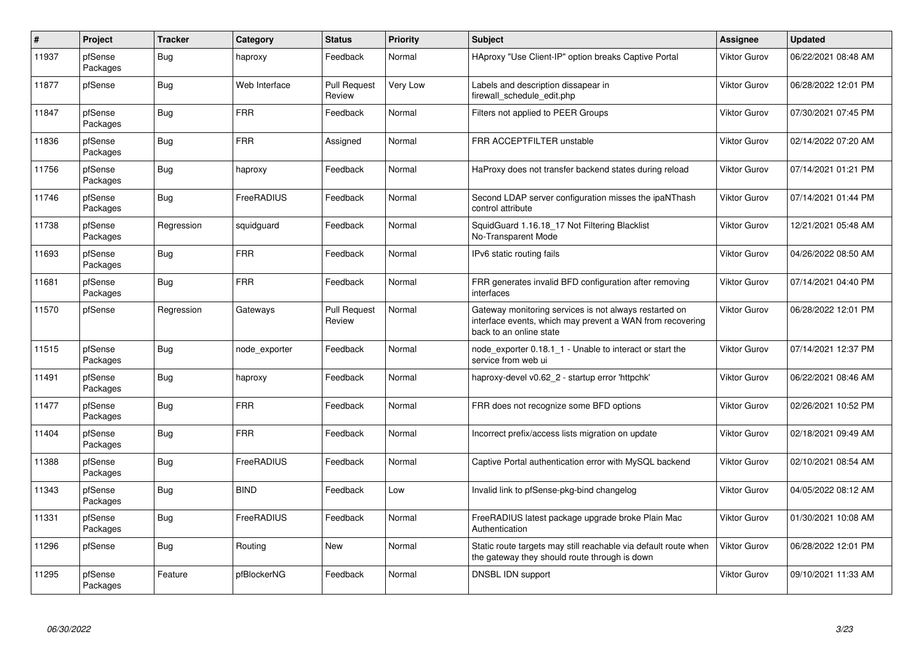| #     | Project             | <b>Tracker</b> | Category      | <b>Status</b>                 | <b>Priority</b> | <b>Subject</b>                                                                                                                                 | <b>Assignee</b>     | <b>Updated</b>      |
|-------|---------------------|----------------|---------------|-------------------------------|-----------------|------------------------------------------------------------------------------------------------------------------------------------------------|---------------------|---------------------|
| 11937 | pfSense<br>Packages | Bug            | haproxy       | Feedback                      | Normal          | HAproxy "Use Client-IP" option breaks Captive Portal                                                                                           | <b>Viktor Gurov</b> | 06/22/2021 08:48 AM |
| 11877 | pfSense             | <b>Bug</b>     | Web Interface | <b>Pull Request</b><br>Review | Very Low        | Labels and description dissapear in<br>firewall schedule edit.php                                                                              | <b>Viktor Gurov</b> | 06/28/2022 12:01 PM |
| 11847 | pfSense<br>Packages | Bug            | <b>FRR</b>    | Feedback                      | Normal          | Filters not applied to PEER Groups                                                                                                             | <b>Viktor Gurov</b> | 07/30/2021 07:45 PM |
| 11836 | pfSense<br>Packages | <b>Bug</b>     | <b>FRR</b>    | Assigned                      | Normal          | FRR ACCEPTFILTER unstable                                                                                                                      | <b>Viktor Gurov</b> | 02/14/2022 07:20 AM |
| 11756 | pfSense<br>Packages | Bug            | haproxy       | Feedback                      | Normal          | HaProxy does not transfer backend states during reload                                                                                         | <b>Viktor Gurov</b> | 07/14/2021 01:21 PM |
| 11746 | pfSense<br>Packages | Bug            | FreeRADIUS    | Feedback                      | Normal          | Second LDAP server configuration misses the ipaNThash<br>control attribute                                                                     | <b>Viktor Gurov</b> | 07/14/2021 01:44 PM |
| 11738 | pfSense<br>Packages | Regression     | squidguard    | Feedback                      | Normal          | SquidGuard 1.16.18 17 Not Filtering Blacklist<br>No-Transparent Mode                                                                           | <b>Viktor Gurov</b> | 12/21/2021 05:48 AM |
| 11693 | pfSense<br>Packages | Bug            | <b>FRR</b>    | Feedback                      | Normal          | IPv6 static routing fails                                                                                                                      | <b>Viktor Gurov</b> | 04/26/2022 08:50 AM |
| 11681 | pfSense<br>Packages | Bug            | <b>FRR</b>    | Feedback                      | Normal          | FRR generates invalid BFD configuration after removing<br>interfaces                                                                           | <b>Viktor Gurov</b> | 07/14/2021 04:40 PM |
| 11570 | pfSense             | Regression     | Gateways      | <b>Pull Request</b><br>Review | Normal          | Gateway monitoring services is not always restarted on<br>interface events, which may prevent a WAN from recovering<br>back to an online state | <b>Viktor Gurov</b> | 06/28/2022 12:01 PM |
| 11515 | pfSense<br>Packages | <b>Bug</b>     | node_exporter | Feedback                      | Normal          | node exporter 0.18.1 1 - Unable to interact or start the<br>service from web ui                                                                | <b>Viktor Gurov</b> | 07/14/2021 12:37 PM |
| 11491 | pfSense<br>Packages | Bug            | haproxy       | Feedback                      | Normal          | haproxy-devel v0.62 2 - startup error 'httpchk'                                                                                                | <b>Viktor Gurov</b> | 06/22/2021 08:46 AM |
| 11477 | pfSense<br>Packages | <b>Bug</b>     | <b>FRR</b>    | Feedback                      | Normal          | FRR does not recognize some BFD options                                                                                                        | <b>Viktor Gurov</b> | 02/26/2021 10:52 PM |
| 11404 | pfSense<br>Packages | <b>Bug</b>     | <b>FRR</b>    | Feedback                      | Normal          | Incorrect prefix/access lists migration on update                                                                                              | <b>Viktor Gurov</b> | 02/18/2021 09:49 AM |
| 11388 | pfSense<br>Packages | Bug            | FreeRADIUS    | Feedback                      | Normal          | Captive Portal authentication error with MySQL backend                                                                                         | <b>Viktor Gurov</b> | 02/10/2021 08:54 AM |
| 11343 | pfSense<br>Packages | <b>Bug</b>     | <b>BIND</b>   | Feedback                      | Low             | Invalid link to pfSense-pkg-bind changelog                                                                                                     | Viktor Gurov        | 04/05/2022 08:12 AM |
| 11331 | pfSense<br>Packages | Bug            | FreeRADIUS    | Feedback                      | Normal          | FreeRADIUS latest package upgrade broke Plain Mac<br>Authentication                                                                            | <b>Viktor Gurov</b> | 01/30/2021 10:08 AM |
| 11296 | pfSense             | Bug            | Routing       | New                           | Normal          | Static route targets may still reachable via default route when<br>the gateway they should route through is down                               | <b>Viktor Gurov</b> | 06/28/2022 12:01 PM |
| 11295 | pfSense<br>Packages | Feature        | pfBlockerNG   | Feedback                      | Normal          | DNSBL IDN support                                                                                                                              | <b>Viktor Gurov</b> | 09/10/2021 11:33 AM |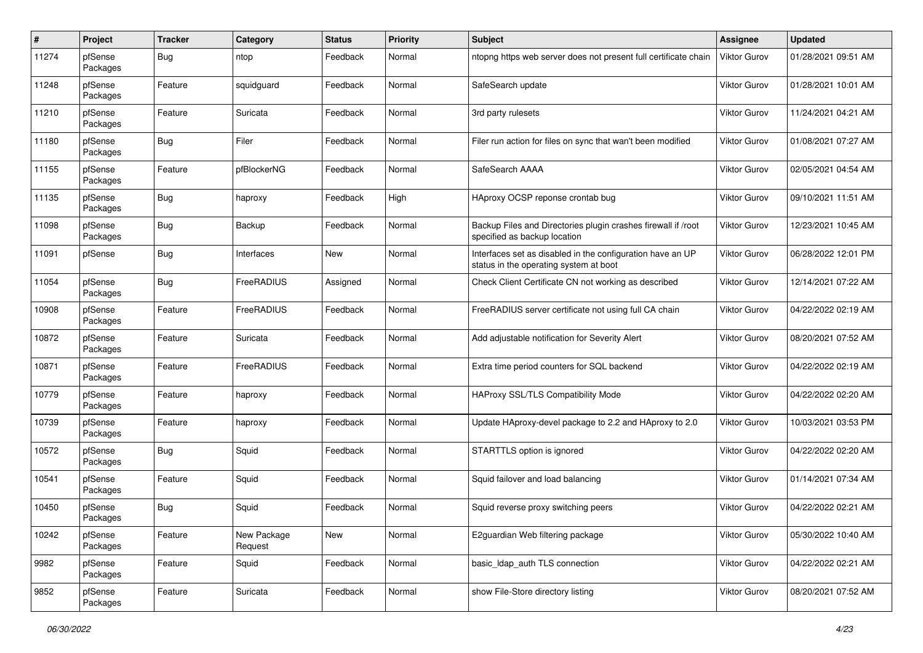| $\sharp$ | Project             | <b>Tracker</b> | Category               | <b>Status</b> | <b>Priority</b> | <b>Subject</b>                                                                                       | <b>Assignee</b>     | <b>Updated</b>      |
|----------|---------------------|----------------|------------------------|---------------|-----------------|------------------------------------------------------------------------------------------------------|---------------------|---------------------|
| 11274    | pfSense<br>Packages | <b>Bug</b>     | ntop                   | Feedback      | Normal          | ntopng https web server does not present full certificate chain                                      | Viktor Gurov        | 01/28/2021 09:51 AM |
| 11248    | pfSense<br>Packages | Feature        | squidguard             | Feedback      | Normal          | SafeSearch update                                                                                    | Viktor Gurov        | 01/28/2021 10:01 AM |
| 11210    | pfSense<br>Packages | Feature        | Suricata               | Feedback      | Normal          | 3rd party rulesets                                                                                   | Viktor Gurov        | 11/24/2021 04:21 AM |
| 11180    | pfSense<br>Packages | <b>Bug</b>     | Filer                  | Feedback      | Normal          | Filer run action for files on sync that wan't been modified                                          | <b>Viktor Gurov</b> | 01/08/2021 07:27 AM |
| 11155    | pfSense<br>Packages | Feature        | pfBlockerNG            | Feedback      | Normal          | SafeSearch AAAA                                                                                      | Viktor Gurov        | 02/05/2021 04:54 AM |
| 11135    | pfSense<br>Packages | Bug            | haproxy                | Feedback      | High            | HAproxy OCSP reponse crontab bug                                                                     | Viktor Gurov        | 09/10/2021 11:51 AM |
| 11098    | pfSense<br>Packages | <b>Bug</b>     | Backup                 | Feedback      | Normal          | Backup Files and Directories plugin crashes firewall if /root<br>specified as backup location        | Viktor Gurov        | 12/23/2021 10:45 AM |
| 11091    | pfSense             | Bug            | Interfaces             | New           | Normal          | Interfaces set as disabled in the configuration have an UP<br>status in the operating system at boot | Viktor Gurov        | 06/28/2022 12:01 PM |
| 11054    | pfSense<br>Packages | <b>Bug</b>     | FreeRADIUS             | Assigned      | Normal          | Check Client Certificate CN not working as described                                                 | Viktor Gurov        | 12/14/2021 07:22 AM |
| 10908    | pfSense<br>Packages | Feature        | FreeRADIUS             | Feedback      | Normal          | FreeRADIUS server certificate not using full CA chain                                                | <b>Viktor Gurov</b> | 04/22/2022 02:19 AM |
| 10872    | pfSense<br>Packages | Feature        | Suricata               | Feedback      | Normal          | Add adjustable notification for Severity Alert                                                       | Viktor Gurov        | 08/20/2021 07:52 AM |
| 10871    | pfSense<br>Packages | Feature        | FreeRADIUS             | Feedback      | Normal          | Extra time period counters for SQL backend                                                           | Viktor Gurov        | 04/22/2022 02:19 AM |
| 10779    | pfSense<br>Packages | Feature        | haproxy                | Feedback      | Normal          | <b>HAProxy SSL/TLS Compatibility Mode</b>                                                            | Viktor Gurov        | 04/22/2022 02:20 AM |
| 10739    | pfSense<br>Packages | Feature        | haproxy                | Feedback      | Normal          | Update HAproxy-devel package to 2.2 and HAproxy to 2.0                                               | Viktor Gurov        | 10/03/2021 03:53 PM |
| 10572    | pfSense<br>Packages | Bug            | Squid                  | Feedback      | Normal          | STARTTLS option is ignored                                                                           | Viktor Gurov        | 04/22/2022 02:20 AM |
| 10541    | pfSense<br>Packages | Feature        | Squid                  | Feedback      | Normal          | Squid failover and load balancing                                                                    | <b>Viktor Gurov</b> | 01/14/2021 07:34 AM |
| 10450    | pfSense<br>Packages | Bug            | Squid                  | Feedback      | Normal          | Squid reverse proxy switching peers                                                                  | Viktor Gurov        | 04/22/2022 02:21 AM |
| 10242    | pfSense<br>Packages | Feature        | New Package<br>Request | New           | Normal          | E2guardian Web filtering package                                                                     | Viktor Gurov        | 05/30/2022 10:40 AM |
| 9982     | pfSense<br>Packages | Feature        | Squid                  | Feedback      | Normal          | basic_Idap_auth TLS connection                                                                       | Viktor Gurov        | 04/22/2022 02:21 AM |
| 9852     | pfSense<br>Packages | Feature        | Suricata               | Feedback      | Normal          | show File-Store directory listing                                                                    | <b>Viktor Gurov</b> | 08/20/2021 07:52 AM |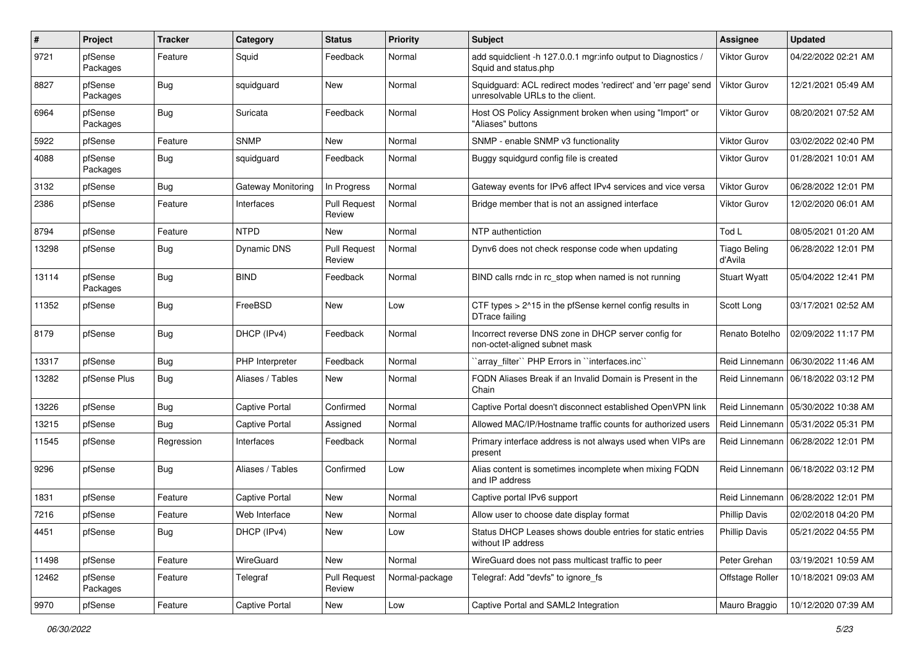| #     | Project             | Tracker    | Category              | <b>Status</b>                 | <b>Priority</b> | Subject                                                                                           | <b>Assignee</b>                | <b>Updated</b>      |
|-------|---------------------|------------|-----------------------|-------------------------------|-----------------|---------------------------------------------------------------------------------------------------|--------------------------------|---------------------|
| 9721  | pfSense<br>Packages | Feature    | Squid                 | Feedback                      | Normal          | add squidclient -h 127.0.0.1 mgr:info output to Diagnostics /<br>Squid and status.php             | Viktor Gurov                   | 04/22/2022 02:21 AM |
| 8827  | pfSense<br>Packages | Bug        | squidguard            | New                           | Normal          | Squidguard: ACL redirect modes 'redirect' and 'err page' send<br>unresolvable URLs to the client. | <b>Viktor Gurov</b>            | 12/21/2021 05:49 AM |
| 6964  | pfSense<br>Packages | Bug        | Suricata              | Feedback                      | Normal          | Host OS Policy Assignment broken when using "Import" or<br>'Aliases" buttons                      | Viktor Gurov                   | 08/20/2021 07:52 AM |
| 5922  | pfSense             | Feature    | <b>SNMP</b>           | New                           | Normal          | SNMP - enable SNMP v3 functionality                                                               | <b>Viktor Gurov</b>            | 03/02/2022 02:40 PM |
| 4088  | pfSense<br>Packages | Bug        | squidguard            | Feedback                      | Normal          | Buggy squidgurd config file is created                                                            | <b>Viktor Gurov</b>            | 01/28/2021 10:01 AM |
| 3132  | pfSense             | <b>Bug</b> | Gateway Monitoring    | In Progress                   | Normal          | Gateway events for IPv6 affect IPv4 services and vice versa                                       | <b>Viktor Gurov</b>            | 06/28/2022 12:01 PM |
| 2386  | pfSense             | Feature    | Interfaces            | <b>Pull Request</b><br>Review | Normal          | Bridge member that is not an assigned interface                                                   | Viktor Gurov                   | 12/02/2020 06:01 AM |
| 8794  | pfSense             | Feature    | <b>NTPD</b>           | <b>New</b>                    | Normal          | NTP authentiction                                                                                 | Tod L                          | 08/05/2021 01:20 AM |
| 13298 | pfSense             | Bug        | <b>Dynamic DNS</b>    | <b>Pull Request</b><br>Review | Normal          | Dynv6 does not check response code when updating                                                  | <b>Tiago Beling</b><br>d'Avila | 06/28/2022 12:01 PM |
| 13114 | pfSense<br>Packages | Bug        | <b>BIND</b>           | Feedback                      | Normal          | BIND calls rndc in rc_stop when named is not running                                              | <b>Stuart Wyatt</b>            | 05/04/2022 12:41 PM |
| 11352 | pfSense             | Bug        | FreeBSD               | New                           | Low             | CTF types > 2^15 in the pfSense kernel config results in<br>DTrace failing                        | Scott Long                     | 03/17/2021 02:52 AM |
| 8179  | pfSense             | Bug        | DHCP (IPv4)           | Feedback                      | Normal          | Incorrect reverse DNS zone in DHCP server config for<br>non-octet-aligned subnet mask             | Renato Botelho                 | 02/09/2022 11:17 PM |
| 13317 | pfSense             | Bug        | PHP Interpreter       | Feedback                      | Normal          | 'array_filter'' PHP Errors in ''interfaces.inc''                                                  | Reid Linnemann                 | 06/30/2022 11:46 AM |
| 13282 | pfSense Plus        | Bug        | Aliases / Tables      | New                           | Normal          | FQDN Aliases Break if an Invalid Domain is Present in the<br>Chain                                | Reid Linnemann                 | 06/18/2022 03:12 PM |
| 13226 | pfSense             | Bug        | Captive Portal        | Confirmed                     | Normal          | Captive Portal doesn't disconnect established OpenVPN link                                        | Reid Linnemann                 | 05/30/2022 10:38 AM |
| 13215 | pfSense             | Bug        | <b>Captive Portal</b> | Assigned                      | Normal          | Allowed MAC/IP/Hostname traffic counts for authorized users                                       | Reid Linnemann                 | 05/31/2022 05:31 PM |
| 11545 | pfSense             | Regression | Interfaces            | Feedback                      | Normal          | Primary interface address is not always used when VIPs are<br>present                             | Reid Linnemann                 | 06/28/2022 12:01 PM |
| 9296  | pfSense             | Bug        | Aliases / Tables      | Confirmed                     | Low             | Alias content is sometimes incomplete when mixing FQDN<br>and IP address                          | Reid Linnemann                 | 06/18/2022 03:12 PM |
| 1831  | pfSense             | Feature    | <b>Captive Portal</b> | New                           | Normal          | Captive portal IPv6 support                                                                       | Reid Linnemann                 | 06/28/2022 12:01 PM |
| 7216  | pfSense             | Feature    | Web Interface         | New                           | Normal          | Allow user to choose date display format                                                          | <b>Phillip Davis</b>           | 02/02/2018 04:20 PM |
| 4451  | pfSense             | <b>Bug</b> | DHCP (IPv4)           | New                           | Low             | Status DHCP Leases shows double entries for static entries<br>without IP address                  | <b>Phillip Davis</b>           | 05/21/2022 04:55 PM |
| 11498 | pfSense             | Feature    | WireGuard             | New                           | Normal          | WireGuard does not pass multicast traffic to peer                                                 | Peter Grehan                   | 03/19/2021 10:59 AM |
| 12462 | pfSense<br>Packages | Feature    | Telegraf              | <b>Pull Request</b><br>Review | Normal-package  | Telegraf: Add "devfs" to ignore fs                                                                | Offstage Roller                | 10/18/2021 09:03 AM |
| 9970  | pfSense             | Feature    | Captive Portal        | New                           | Low             | Captive Portal and SAML2 Integration                                                              | Mauro Braggio                  | 10/12/2020 07:39 AM |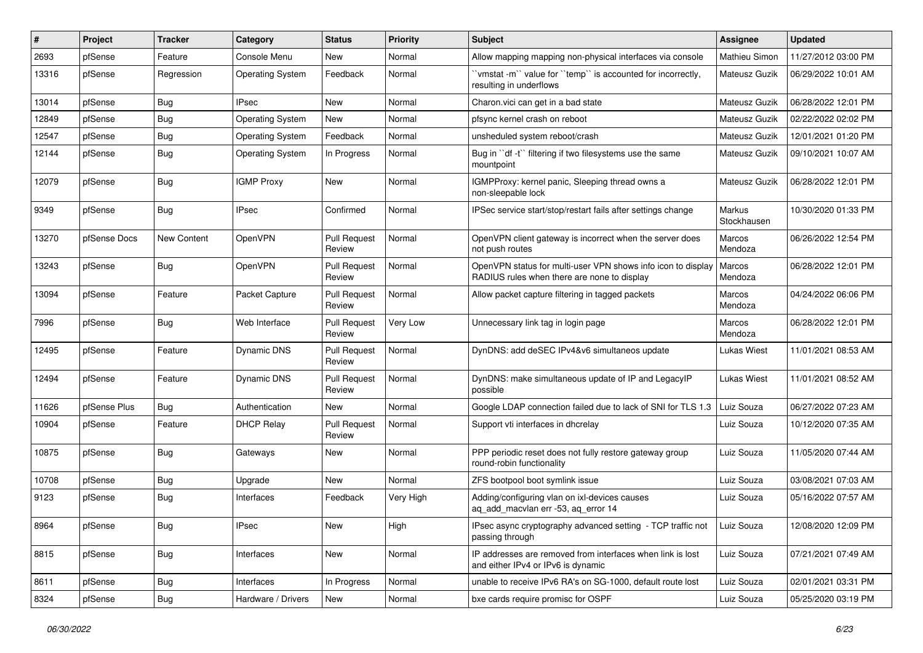| $\#$  | Project      | <b>Tracker</b> | Category                | <b>Status</b>                 | <b>Priority</b> | Subject                                                                                                     | Assignee              | <b>Updated</b>      |
|-------|--------------|----------------|-------------------------|-------------------------------|-----------------|-------------------------------------------------------------------------------------------------------------|-----------------------|---------------------|
| 2693  | pfSense      | Feature        | Console Menu            | New                           | Normal          | Allow mapping mapping non-physical interfaces via console                                                   | Mathieu Simon         | 11/27/2012 03:00 PM |
| 13316 | pfSense      | Regression     | <b>Operating System</b> | Feedback                      | Normal          | 'vmstat -m'` value for ''temp'' is accounted for incorrectly,<br>resulting in underflows                    | Mateusz Guzik         | 06/29/2022 10:01 AM |
| 13014 | pfSense      | Bug            | <b>IPsec</b>            | <b>New</b>                    | Normal          | Charon.vici can get in a bad state                                                                          | Mateusz Guzik         | 06/28/2022 12:01 PM |
| 12849 | pfSense      | Bug            | <b>Operating System</b> | New                           | Normal          | pfsync kernel crash on reboot                                                                               | Mateusz Guzik         | 02/22/2022 02:02 PM |
| 12547 | pfSense      | <b>Bug</b>     | <b>Operating System</b> | Feedback                      | Normal          | unsheduled system reboot/crash                                                                              | Mateusz Guzik         | 12/01/2021 01:20 PM |
| 12144 | pfSense      | <b>Bug</b>     | <b>Operating System</b> | In Progress                   | Normal          | Bug in "df -t" filtering if two filesystems use the same<br>mountpoint                                      | Mateusz Guzik         | 09/10/2021 10:07 AM |
| 12079 | pfSense      | <b>Bug</b>     | <b>IGMP Proxy</b>       | New                           | Normal          | IGMPProxy: kernel panic, Sleeping thread owns a<br>non-sleepable lock                                       | Mateusz Guzik         | 06/28/2022 12:01 PM |
| 9349  | pfSense      | Bug            | <b>IPsec</b>            | Confirmed                     | Normal          | IPSec service start/stop/restart fails after settings change                                                | Markus<br>Stockhausen | 10/30/2020 01:33 PM |
| 13270 | pfSense Docs | New Content    | OpenVPN                 | <b>Pull Request</b><br>Review | Normal          | OpenVPN client gateway is incorrect when the server does<br>not push routes                                 | Marcos<br>Mendoza     | 06/26/2022 12:54 PM |
| 13243 | pfSense      | <b>Bug</b>     | OpenVPN                 | Pull Request<br>Review        | Normal          | OpenVPN status for multi-user VPN shows info icon to display<br>RADIUS rules when there are none to display | Marcos<br>Mendoza     | 06/28/2022 12:01 PM |
| 13094 | pfSense      | Feature        | Packet Capture          | <b>Pull Request</b><br>Review | Normal          | Allow packet capture filtering in tagged packets                                                            | Marcos<br>Mendoza     | 04/24/2022 06:06 PM |
| 7996  | pfSense      | <b>Bug</b>     | Web Interface           | <b>Pull Request</b><br>Review | Very Low        | Unnecessary link tag in login page                                                                          | Marcos<br>Mendoza     | 06/28/2022 12:01 PM |
| 12495 | pfSense      | Feature        | <b>Dynamic DNS</b>      | <b>Pull Request</b><br>Review | Normal          | DynDNS: add deSEC IPv4&v6 simultaneos update                                                                | <b>Lukas Wiest</b>    | 11/01/2021 08:53 AM |
| 12494 | pfSense      | Feature        | <b>Dynamic DNS</b>      | <b>Pull Request</b><br>Review | Normal          | DynDNS: make simultaneous update of IP and LegacyIP<br>possible                                             | Lukas Wiest           | 11/01/2021 08:52 AM |
| 11626 | pfSense Plus | Bug            | Authentication          | New                           | Normal          | Google LDAP connection failed due to lack of SNI for TLS 1.3                                                | Luiz Souza            | 06/27/2022 07:23 AM |
| 10904 | pfSense      | Feature        | <b>DHCP Relay</b>       | <b>Pull Request</b><br>Review | Normal          | Support vti interfaces in dhcrelay                                                                          | Luiz Souza            | 10/12/2020 07:35 AM |
| 10875 | pfSense      | <b>Bug</b>     | Gateways                | New                           | Normal          | PPP periodic reset does not fully restore gateway group<br>round-robin functionality                        | Luiz Souza            | 11/05/2020 07:44 AM |
| 10708 | pfSense      | <b>Bug</b>     | Upgrade                 | <b>New</b>                    | Normal          | ZFS bootpool boot symlink issue                                                                             | Luiz Souza            | 03/08/2021 07:03 AM |
| 9123  | pfSense      | <b>Bug</b>     | Interfaces              | Feedback                      | Very High       | Adding/configuring vlan on ixl-devices causes<br>aq_add_macvlan err -53, aq_error 14                        | Luiz Souza            | 05/16/2022 07:57 AM |
| 8964  | pfSense      | <b>Bug</b>     | <b>IPsec</b>            | New                           | High            | IPsec async cryptography advanced setting - TCP traffic not<br>passing through                              | Luiz Souza            | 12/08/2020 12:09 PM |
| 8815  | pfSense      | <b>Bug</b>     | Interfaces              | New                           | Normal          | IP addresses are removed from interfaces when link is lost<br>and either IPv4 or IPv6 is dynamic            | Luiz Souza            | 07/21/2021 07:49 AM |
| 8611  | pfSense      | <b>Bug</b>     | Interfaces              | In Progress                   | Normal          | unable to receive IPv6 RA's on SG-1000, default route lost                                                  | Luiz Souza            | 02/01/2021 03:31 PM |
| 8324  | pfSense      | Bug            | Hardware / Drivers      | New                           | Normal          | bxe cards require promisc for OSPF                                                                          | Luiz Souza            | 05/25/2020 03:19 PM |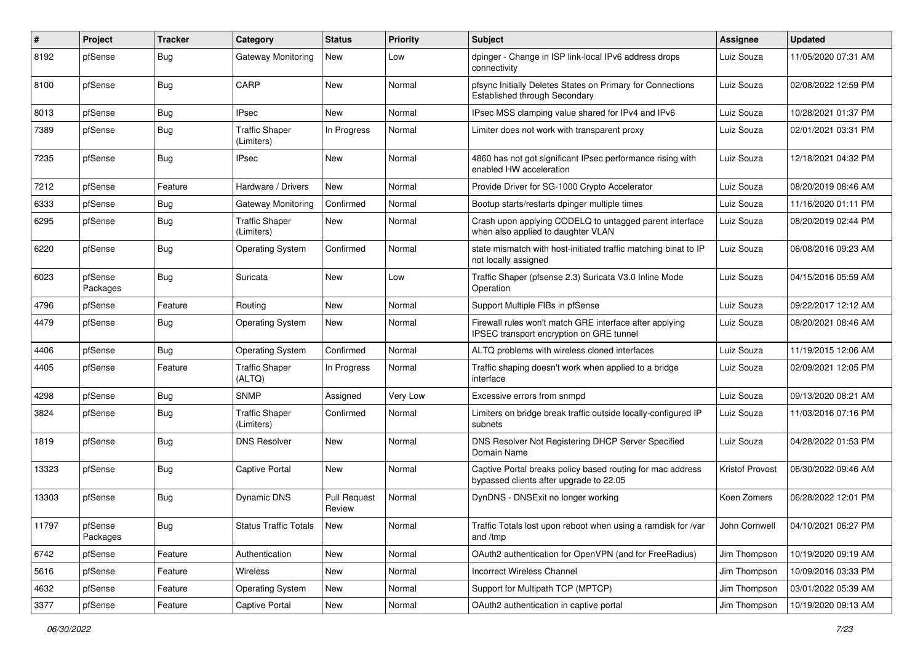| ∦     | Project             | <b>Tracker</b> | Category                            | <b>Status</b>                 | <b>Priority</b> | Subject                                                                                               | <b>Assignee</b>        | <b>Updated</b>      |
|-------|---------------------|----------------|-------------------------------------|-------------------------------|-----------------|-------------------------------------------------------------------------------------------------------|------------------------|---------------------|
| 8192  | pfSense             | Bug            | Gateway Monitoring                  | New                           | Low             | dpinger - Change in ISP link-local IPv6 address drops<br>connectivity                                 | Luiz Souza             | 11/05/2020 07:31 AM |
| 8100  | pfSense             | Bug            | CARP                                | New                           | Normal          | pfsync Initially Deletes States on Primary for Connections<br>Established through Secondary           | Luiz Souza             | 02/08/2022 12:59 PM |
| 8013  | pfSense             | <b>Bug</b>     | <b>IPsec</b>                        | <b>New</b>                    | Normal          | IPsec MSS clamping value shared for IPv4 and IPv6                                                     | Luiz Souza             | 10/28/2021 01:37 PM |
| 7389  | pfSense             | Bug            | <b>Traffic Shaper</b><br>(Limiters) | In Progress                   | Normal          | Limiter does not work with transparent proxy                                                          | Luiz Souza             | 02/01/2021 03:31 PM |
| 7235  | pfSense             | Bug            | <b>IPsec</b>                        | New                           | Normal          | 4860 has not got significant IPsec performance rising with<br>enabled HW acceleration                 | Luiz Souza             | 12/18/2021 04:32 PM |
| 7212  | pfSense             | Feature        | Hardware / Drivers                  | <b>New</b>                    | Normal          | Provide Driver for SG-1000 Crypto Accelerator                                                         | Luiz Souza             | 08/20/2019 08:46 AM |
| 6333  | pfSense             | Bug            | Gateway Monitoring                  | Confirmed                     | Normal          | Bootup starts/restarts dpinger multiple times                                                         | Luiz Souza             | 11/16/2020 01:11 PM |
| 6295  | pfSense             | Bug            | <b>Traffic Shaper</b><br>(Limiters) | New                           | Normal          | Crash upon applying CODELQ to untagged parent interface<br>when also applied to daughter VLAN         | Luiz Souza             | 08/20/2019 02:44 PM |
| 6220  | pfSense             | Bug            | <b>Operating System</b>             | Confirmed                     | Normal          | state mismatch with host-initiated traffic matching binat to IP<br>not locally assigned               | Luiz Souza             | 06/08/2016 09:23 AM |
| 6023  | pfSense<br>Packages | Bug            | Suricata                            | New                           | Low             | Traffic Shaper (pfsense 2.3) Suricata V3.0 Inline Mode<br>Operation                                   | Luiz Souza             | 04/15/2016 05:59 AM |
| 4796  | pfSense             | Feature        | Routing                             | <b>New</b>                    | Normal          | Support Multiple FIBs in pfSense                                                                      | Luiz Souza             | 09/22/2017 12:12 AM |
| 4479  | pfSense             | Bug            | <b>Operating System</b>             | New                           | Normal          | Firewall rules won't match GRE interface after applying<br>IPSEC transport encryption on GRE tunnel   | Luiz Souza             | 08/20/2021 08:46 AM |
| 4406  | pfSense             | Bug            | <b>Operating System</b>             | Confirmed                     | Normal          | ALTQ problems with wireless cloned interfaces                                                         | Luiz Souza             | 11/19/2015 12:06 AM |
| 4405  | pfSense             | Feature        | <b>Traffic Shaper</b><br>(ALTQ)     | In Progress                   | Normal          | Traffic shaping doesn't work when applied to a bridge<br>interface                                    | Luiz Souza             | 02/09/2021 12:05 PM |
| 4298  | pfSense             | Bug            | <b>SNMP</b>                         | Assigned                      | Very Low        | Excessive errors from snmpd                                                                           | Luiz Souza             | 09/13/2020 08:21 AM |
| 3824  | pfSense             | Bug            | <b>Traffic Shaper</b><br>(Limiters) | Confirmed                     | Normal          | Limiters on bridge break traffic outside locally-configured IP<br>subnets                             | Luiz Souza             | 11/03/2016 07:16 PM |
| 1819  | pfSense             | Bug            | <b>DNS Resolver</b>                 | New                           | Normal          | DNS Resolver Not Registering DHCP Server Specified<br>Domain Name                                     | Luiz Souza             | 04/28/2022 01:53 PM |
| 13323 | pfSense             | Bug            | Captive Portal                      | New                           | Normal          | Captive Portal breaks policy based routing for mac address<br>bypassed clients after upgrade to 22.05 | <b>Kristof Provost</b> | 06/30/2022 09:46 AM |
| 13303 | pfSense             | Bug            | <b>Dynamic DNS</b>                  | <b>Pull Request</b><br>Review | Normal          | DynDNS - DNSExit no longer working                                                                    | Koen Zomers            | 06/28/2022 12:01 PM |
| 11797 | pfSense<br>Packages | Bug            | <b>Status Traffic Totals</b>        | New                           | Normal          | Traffic Totals lost upon reboot when using a ramdisk for /var<br>and /tmp                             | John Cornwell          | 04/10/2021 06:27 PM |
| 6742  | pfSense             | Feature        | Authentication                      | New                           | Normal          | OAuth2 authentication for OpenVPN (and for FreeRadius)                                                | Jim Thompson           | 10/19/2020 09:19 AM |
| 5616  | pfSense             | Feature        | Wireless                            | New                           | Normal          | <b>Incorrect Wireless Channel</b>                                                                     | Jim Thompson           | 10/09/2016 03:33 PM |
| 4632  | pfSense             | Feature        | Operating System                    | New                           | Normal          | Support for Multipath TCP (MPTCP)                                                                     | Jim Thompson           | 03/01/2022 05:39 AM |
| 3377  | pfSense             | Feature        | Captive Portal                      | New                           | Normal          | OAuth2 authentication in captive portal                                                               | Jim Thompson           | 10/19/2020 09:13 AM |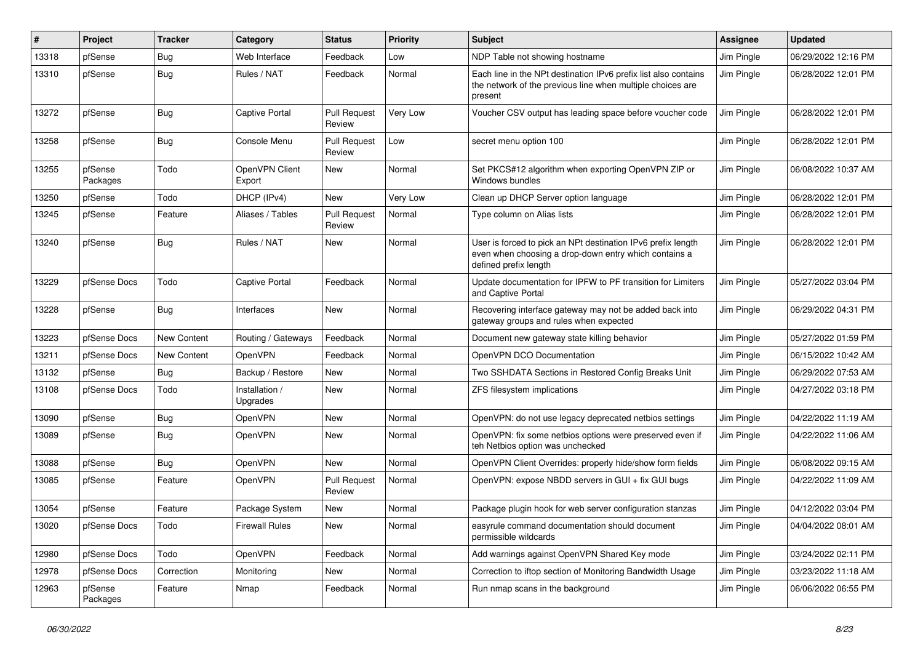| ∦     | Project             | Tracker     | Category                   | <b>Status</b>                 | Priority        | Subject                                                                                                                                        | <b>Assignee</b> | <b>Updated</b>      |
|-------|---------------------|-------------|----------------------------|-------------------------------|-----------------|------------------------------------------------------------------------------------------------------------------------------------------------|-----------------|---------------------|
| 13318 | pfSense             | Bug         | Web Interface              | Feedback                      | Low             | NDP Table not showing hostname                                                                                                                 | Jim Pingle      | 06/29/2022 12:16 PM |
| 13310 | pfSense             | Bug         | Rules / NAT                | Feedback                      | Normal          | Each line in the NPt destination IPv6 prefix list also contains<br>the network of the previous line when multiple choices are<br>present       | Jim Pingle      | 06/28/2022 12:01 PM |
| 13272 | pfSense             | Bug         | <b>Captive Portal</b>      | Pull Request<br>Review        | <b>Very Low</b> | Voucher CSV output has leading space before voucher code                                                                                       | Jim Pingle      | 06/28/2022 12:01 PM |
| 13258 | pfSense             | Bug         | Console Menu               | <b>Pull Request</b><br>Review | Low             | secret menu option 100                                                                                                                         | Jim Pingle      | 06/28/2022 12:01 PM |
| 13255 | pfSense<br>Packages | Todo        | OpenVPN Client<br>Export   | New                           | Normal          | Set PKCS#12 algorithm when exporting OpenVPN ZIP or<br>Windows bundles                                                                         | Jim Pingle      | 06/08/2022 10:37 AM |
| 13250 | pfSense             | Todo        | DHCP (IPv4)                | <b>New</b>                    | Very Low        | Clean up DHCP Server option language                                                                                                           | Jim Pingle      | 06/28/2022 12:01 PM |
| 13245 | pfSense             | Feature     | Aliases / Tables           | <b>Pull Request</b><br>Review | Normal          | Type column on Alias lists                                                                                                                     | Jim Pingle      | 06/28/2022 12:01 PM |
| 13240 | pfSense             | Bug         | Rules / NAT                | New                           | Normal          | User is forced to pick an NPt destination IPv6 prefix length<br>even when choosing a drop-down entry which contains a<br>defined prefix length | Jim Pingle      | 06/28/2022 12:01 PM |
| 13229 | pfSense Docs        | Todo        | <b>Captive Portal</b>      | Feedback                      | Normal          | Update documentation for IPFW to PF transition for Limiters<br>and Captive Portal                                                              | Jim Pingle      | 05/27/2022 03:04 PM |
| 13228 | pfSense             | Bug         | Interfaces                 | <b>New</b>                    | Normal          | Recovering interface gateway may not be added back into<br>gateway groups and rules when expected                                              | Jim Pingle      | 06/29/2022 04:31 PM |
| 13223 | pfSense Docs        | New Content | Routing / Gateways         | Feedback                      | Normal          | Document new gateway state killing behavior                                                                                                    | Jim Pingle      | 05/27/2022 01:59 PM |
| 13211 | pfSense Docs        | New Content | OpenVPN                    | Feedback                      | Normal          | OpenVPN DCO Documentation                                                                                                                      | Jim Pingle      | 06/15/2022 10:42 AM |
| 13132 | pfSense             | Bug         | Backup / Restore           | New                           | Normal          | Two SSHDATA Sections in Restored Config Breaks Unit                                                                                            | Jim Pingle      | 06/29/2022 07:53 AM |
| 13108 | pfSense Docs        | Todo        | Installation /<br>Upgrades | New                           | Normal          | ZFS filesystem implications                                                                                                                    | Jim Pingle      | 04/27/2022 03:18 PM |
| 13090 | pfSense             | Bug         | OpenVPN                    | New                           | Normal          | OpenVPN: do not use legacy deprecated netbios settings                                                                                         | Jim Pingle      | 04/22/2022 11:19 AM |
| 13089 | pfSense             | Bug         | OpenVPN                    | New                           | Normal          | OpenVPN: fix some netbios options were preserved even if<br>teh Netbios option was unchecked                                                   | Jim Pingle      | 04/22/2022 11:06 AM |
| 13088 | pfSense             | <b>Bug</b>  | OpenVPN                    | New                           | Normal          | OpenVPN Client Overrides: properly hide/show form fields                                                                                       | Jim Pingle      | 06/08/2022 09:15 AM |
| 13085 | pfSense             | Feature     | OpenVPN                    | <b>Pull Request</b><br>Review | Normal          | OpenVPN: expose NBDD servers in GUI + fix GUI bugs                                                                                             | Jim Pingle      | 04/22/2022 11:09 AM |
| 13054 | pfSense             | Feature     | Package System             | New                           | Normal          | Package plugin hook for web server configuration stanzas                                                                                       | Jim Pingle      | 04/12/2022 03:04 PM |
| 13020 | pfSense Docs        | Todo        | <b>Firewall Rules</b>      | New                           | Normal          | easyrule command documentation should document<br>permissible wildcards                                                                        | Jim Pingle      | 04/04/2022 08:01 AM |
| 12980 | pfSense Docs        | Todo        | OpenVPN                    | Feedback                      | Normal          | Add warnings against OpenVPN Shared Key mode                                                                                                   | Jim Pingle      | 03/24/2022 02:11 PM |
| 12978 | pfSense Docs        | Correction  | Monitoring                 | New                           | Normal          | Correction to iftop section of Monitoring Bandwidth Usage                                                                                      | Jim Pingle      | 03/23/2022 11:18 AM |
| 12963 | pfSense<br>Packages | Feature     | Nmap                       | Feedback                      | Normal          | Run nmap scans in the background                                                                                                               | Jim Pingle      | 06/06/2022 06:55 PM |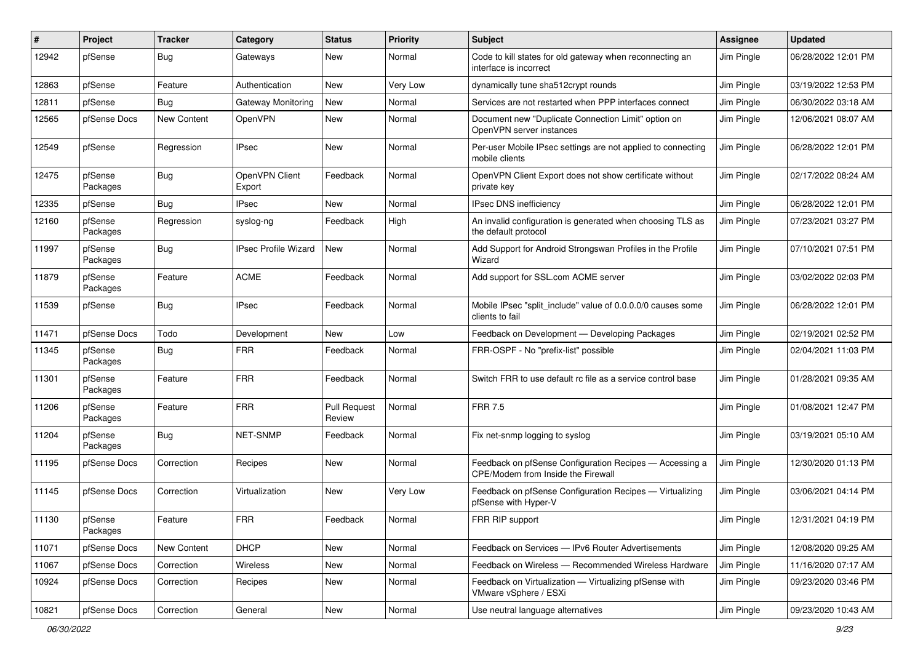| ∦     | Project             | <b>Tracker</b> | Category                    | <b>Status</b>                 | <b>Priority</b> | Subject                                                                                       | Assignee   | <b>Updated</b>      |
|-------|---------------------|----------------|-----------------------------|-------------------------------|-----------------|-----------------------------------------------------------------------------------------------|------------|---------------------|
| 12942 | pfSense             | Bug            | Gateways                    | New                           | Normal          | Code to kill states for old gateway when reconnecting an<br>interface is incorrect            | Jim Pingle | 06/28/2022 12:01 PM |
| 12863 | pfSense             | Feature        | Authentication              | New                           | <b>Very Low</b> | dynamically tune sha512crypt rounds                                                           | Jim Pingle | 03/19/2022 12:53 PM |
| 12811 | pfSense             | <b>Bug</b>     | Gateway Monitoring          | New                           | Normal          | Services are not restarted when PPP interfaces connect                                        | Jim Pingle | 06/30/2022 03:18 AM |
| 12565 | pfSense Docs        | New Content    | <b>OpenVPN</b>              | <b>New</b>                    | Normal          | Document new "Duplicate Connection Limit" option on<br>OpenVPN server instances               | Jim Pingle | 12/06/2021 08:07 AM |
| 12549 | pfSense             | Regression     | <b>IPsec</b>                | New                           | Normal          | Per-user Mobile IPsec settings are not applied to connecting<br>mobile clients                | Jim Pingle | 06/28/2022 12:01 PM |
| 12475 | pfSense<br>Packages | Bug            | OpenVPN Client<br>Export    | Feedback                      | Normal          | OpenVPN Client Export does not show certificate without<br>private key                        | Jim Pingle | 02/17/2022 08:24 AM |
| 12335 | pfSense             | Bug            | <b>IPsec</b>                | New                           | Normal          | <b>IPsec DNS inefficiency</b>                                                                 | Jim Pingle | 06/28/2022 12:01 PM |
| 12160 | pfSense<br>Packages | Regression     | syslog-ng                   | Feedback                      | High            | An invalid configuration is generated when choosing TLS as<br>the default protocol            | Jim Pingle | 07/23/2021 03:27 PM |
| 11997 | pfSense<br>Packages | Bug            | <b>IPsec Profile Wizard</b> | New                           | Normal          | Add Support for Android Strongswan Profiles in the Profile<br>Wizard                          | Jim Pingle | 07/10/2021 07:51 PM |
| 11879 | pfSense<br>Packages | Feature        | <b>ACME</b>                 | Feedback                      | Normal          | Add support for SSL.com ACME server                                                           | Jim Pingle | 03/02/2022 02:03 PM |
| 11539 | pfSense             | Bug            | <b>IPsec</b>                | Feedback                      | Normal          | Mobile IPsec "split include" value of 0.0.0.0/0 causes some<br>clients to fail                | Jim Pingle | 06/28/2022 12:01 PM |
| 11471 | pfSense Docs        | Todo           | Development                 | New                           | Low             | Feedback on Development - Developing Packages                                                 | Jim Pingle | 02/19/2021 02:52 PM |
| 11345 | pfSense<br>Packages | <b>Bug</b>     | <b>FRR</b>                  | Feedback                      | Normal          | FRR-OSPF - No "prefix-list" possible                                                          | Jim Pingle | 02/04/2021 11:03 PM |
| 11301 | pfSense<br>Packages | Feature        | <b>FRR</b>                  | Feedback                      | Normal          | Switch FRR to use default rc file as a service control base                                   | Jim Pingle | 01/28/2021 09:35 AM |
| 11206 | pfSense<br>Packages | Feature        | <b>FRR</b>                  | <b>Pull Request</b><br>Review | Normal          | <b>FRR 7.5</b>                                                                                | Jim Pingle | 01/08/2021 12:47 PM |
| 11204 | pfSense<br>Packages | Bug            | NET-SNMP                    | Feedback                      | Normal          | Fix net-snmp logging to syslog                                                                | Jim Pingle | 03/19/2021 05:10 AM |
| 11195 | pfSense Docs        | Correction     | Recipes                     | New                           | Normal          | Feedback on pfSense Configuration Recipes - Accessing a<br>CPE/Modem from Inside the Firewall | Jim Pingle | 12/30/2020 01:13 PM |
| 11145 | pfSense Docs        | Correction     | Virtualization              | New                           | <b>Very Low</b> | Feedback on pfSense Configuration Recipes - Virtualizing<br>pfSense with Hyper-V              | Jim Pingle | 03/06/2021 04:14 PM |
| 11130 | pfSense<br>Packages | Feature        | ${\sf FRR}$                 | Feedback                      | Normal          | FRR RIP support                                                                               | Jim Pingle | 12/31/2021 04:19 PM |
| 11071 | pfSense Docs        | New Content    | <b>DHCP</b>                 | <b>New</b>                    | Normal          | Feedback on Services - IPv6 Router Advertisements                                             | Jim Pingle | 12/08/2020 09:25 AM |
| 11067 | pfSense Docs        | Correction     | Wireless                    | New                           | Normal          | Feedback on Wireless - Recommended Wireless Hardware                                          | Jim Pingle | 11/16/2020 07:17 AM |
| 10924 | pfSense Docs        | Correction     | Recipes                     | New                           | Normal          | Feedback on Virtualization - Virtualizing pfSense with<br>VMware vSphere / ESXi               | Jim Pingle | 09/23/2020 03:46 PM |
| 10821 | pfSense Docs        | Correction     | General                     | New                           | Normal          | Use neutral language alternatives                                                             | Jim Pingle | 09/23/2020 10:43 AM |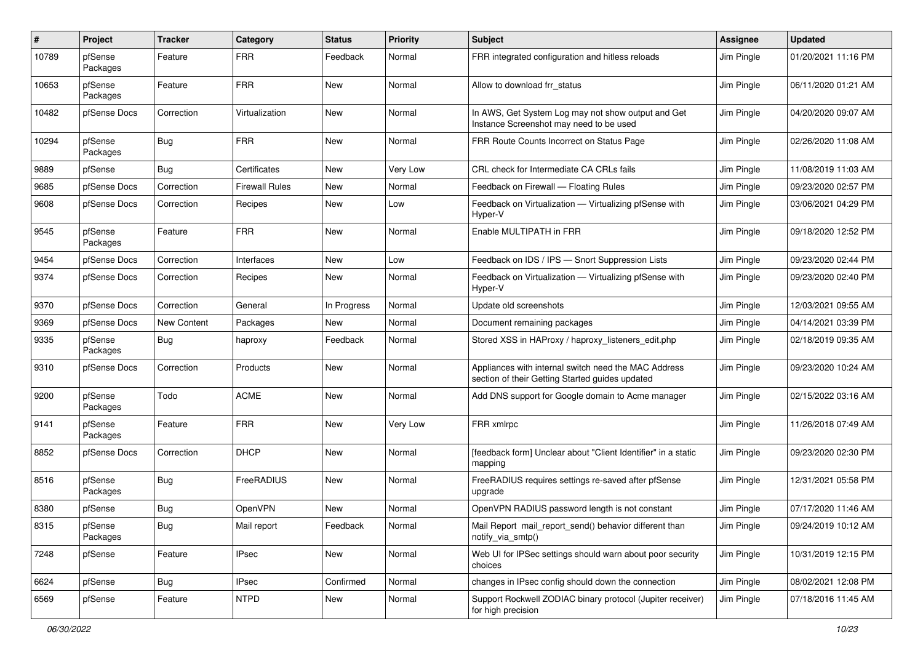| ∦     | Project             | <b>Tracker</b>     | Category              | <b>Status</b> | <b>Priority</b> | Subject                                                                                                 | Assignee   | <b>Updated</b>      |
|-------|---------------------|--------------------|-----------------------|---------------|-----------------|---------------------------------------------------------------------------------------------------------|------------|---------------------|
| 10789 | pfSense<br>Packages | Feature            | <b>FRR</b>            | Feedback      | Normal          | FRR integrated configuration and hitless reloads                                                        | Jim Pingle | 01/20/2021 11:16 PM |
| 10653 | pfSense<br>Packages | Feature            | <b>FRR</b>            | New           | Normal          | Allow to download frr status                                                                            | Jim Pingle | 06/11/2020 01:21 AM |
| 10482 | pfSense Docs        | Correction         | Virtualization        | <b>New</b>    | Normal          | In AWS, Get System Log may not show output and Get<br>Instance Screenshot may need to be used           | Jim Pingle | 04/20/2020 09:07 AM |
| 10294 | pfSense<br>Packages | Bug                | <b>FRR</b>            | New           | Normal          | FRR Route Counts Incorrect on Status Page                                                               | Jim Pingle | 02/26/2020 11:08 AM |
| 9889  | pfSense             | Bug                | Certificates          | New           | <b>Very Low</b> | CRL check for Intermediate CA CRLs fails                                                                | Jim Pingle | 11/08/2019 11:03 AM |
| 9685  | pfSense Docs        | Correction         | <b>Firewall Rules</b> | New           | Normal          | Feedback on Firewall - Floating Rules                                                                   | Jim Pingle | 09/23/2020 02:57 PM |
| 9608  | pfSense Docs        | Correction         | Recipes               | New           | Low             | Feedback on Virtualization - Virtualizing pfSense with<br>Hyper-V                                       | Jim Pingle | 03/06/2021 04:29 PM |
| 9545  | pfSense<br>Packages | Feature            | <b>FRR</b>            | <b>New</b>    | Normal          | Enable MULTIPATH in FRR                                                                                 | Jim Pingle | 09/18/2020 12:52 PM |
| 9454  | pfSense Docs        | Correction         | Interfaces            | <b>New</b>    | Low             | Feedback on IDS / IPS - Snort Suppression Lists                                                         | Jim Pingle | 09/23/2020 02:44 PM |
| 9374  | pfSense Docs        | Correction         | Recipes               | New           | Normal          | Feedback on Virtualization - Virtualizing pfSense with<br>Hyper-V                                       | Jim Pingle | 09/23/2020 02:40 PM |
| 9370  | pfSense Docs        | Correction         | General               | In Progress   | Normal          | Update old screenshots                                                                                  | Jim Pingle | 12/03/2021 09:55 AM |
| 9369  | pfSense Docs        | <b>New Content</b> | Packages              | New           | Normal          | Document remaining packages                                                                             | Jim Pingle | 04/14/2021 03:39 PM |
| 9335  | pfSense<br>Packages | <b>Bug</b>         | haproxy               | Feedback      | Normal          | Stored XSS in HAProxy / haproxy_listeners_edit.php                                                      | Jim Pingle | 02/18/2019 09:35 AM |
| 9310  | pfSense Docs        | Correction         | Products              | New           | Normal          | Appliances with internal switch need the MAC Address<br>section of their Getting Started guides updated | Jim Pingle | 09/23/2020 10:24 AM |
| 9200  | pfSense<br>Packages | Todo               | <b>ACME</b>           | <b>New</b>    | Normal          | Add DNS support for Google domain to Acme manager                                                       | Jim Pingle | 02/15/2022 03:16 AM |
| 9141  | pfSense<br>Packages | Feature            | <b>FRR</b>            | New           | <b>Very Low</b> | FRR xmlrpc                                                                                              | Jim Pingle | 11/26/2018 07:49 AM |
| 8852  | pfSense Docs        | Correction         | <b>DHCP</b>           | New           | Normal          | [feedback form] Unclear about "Client Identifier" in a static<br>mapping                                | Jim Pingle | 09/23/2020 02:30 PM |
| 8516  | pfSense<br>Packages | Bug                | FreeRADIUS            | New           | Normal          | FreeRADIUS requires settings re-saved after pfSense<br>upgrade                                          | Jim Pingle | 12/31/2021 05:58 PM |
| 8380  | pfSense             | Bug                | <b>OpenVPN</b>        | <b>New</b>    | Normal          | OpenVPN RADIUS password length is not constant                                                          | Jim Pingle | 07/17/2020 11:46 AM |
| 8315  | pfSense<br>Packages | <b>Bug</b>         | Mail report           | Feedback      | Normal          | Mail Report mail_report_send() behavior different than<br>notify_via_smtp()                             | Jim Pingle | 09/24/2019 10:12 AM |
| 7248  | pfSense             | Feature            | <b>IPsec</b>          | New           | Normal          | Web UI for IPSec settings should warn about poor security<br>choices                                    | Jim Pingle | 10/31/2019 12:15 PM |
| 6624  | pfSense             | Bug                | <b>IPsec</b>          | Confirmed     | Normal          | changes in IPsec config should down the connection                                                      | Jim Pingle | 08/02/2021 12:08 PM |
| 6569  | pfSense             | Feature            | <b>NTPD</b>           | New           | Normal          | Support Rockwell ZODIAC binary protocol (Jupiter receiver)<br>for high precision                        | Jim Pingle | 07/18/2016 11:45 AM |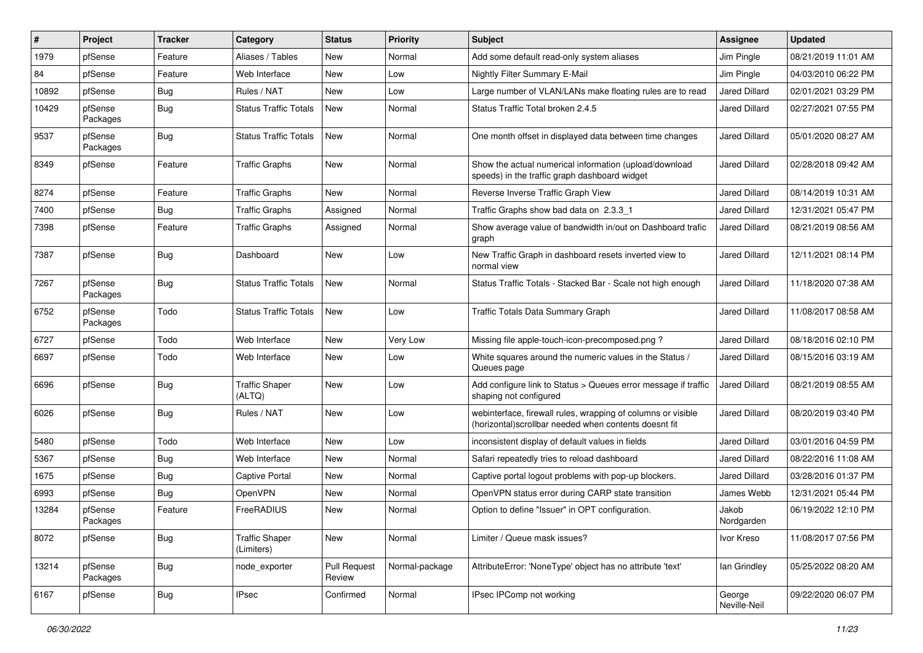| #     | Project             | <b>Tracker</b> | Category                            | <b>Status</b>                 | <b>Priority</b> | Subject                                                                                                               | <b>Assignee</b>        | <b>Updated</b>      |
|-------|---------------------|----------------|-------------------------------------|-------------------------------|-----------------|-----------------------------------------------------------------------------------------------------------------------|------------------------|---------------------|
| 1979  | pfSense             | Feature        | Aliases / Tables                    | New                           | Normal          | Add some default read-only system aliases                                                                             | Jim Pingle             | 08/21/2019 11:01 AM |
| 84    | pfSense             | Feature        | Web Interface                       | New                           | Low             | Nightly Filter Summary E-Mail                                                                                         | Jim Pingle             | 04/03/2010 06:22 PM |
| 10892 | pfSense             | Bug            | Rules / NAT                         | New                           | Low             | Large number of VLAN/LANs make floating rules are to read                                                             | <b>Jared Dillard</b>   | 02/01/2021 03:29 PM |
| 10429 | pfSense<br>Packages | <b>Bug</b>     | <b>Status Traffic Totals</b>        | New                           | Normal          | Status Traffic Total broken 2.4.5                                                                                     | <b>Jared Dillard</b>   | 02/27/2021 07:55 PM |
| 9537  | pfSense<br>Packages | <b>Bug</b>     | <b>Status Traffic Totals</b>        | New                           | Normal          | One month offset in displayed data between time changes                                                               | <b>Jared Dillard</b>   | 05/01/2020 08:27 AM |
| 8349  | pfSense             | Feature        | <b>Traffic Graphs</b>               | New                           | Normal          | Show the actual numerical information (upload/download<br>speeds) in the traffic graph dashboard widget               | <b>Jared Dillard</b>   | 02/28/2018 09:42 AM |
| 8274  | pfSense             | Feature        | <b>Traffic Graphs</b>               | New                           | Normal          | Reverse Inverse Traffic Graph View                                                                                    | <b>Jared Dillard</b>   | 08/14/2019 10:31 AM |
| 7400  | pfSense             | Bug            | <b>Traffic Graphs</b>               | Assigned                      | Normal          | Traffic Graphs show bad data on 2.3.3 1                                                                               | <b>Jared Dillard</b>   | 12/31/2021 05:47 PM |
| 7398  | pfSense             | Feature        | <b>Traffic Graphs</b>               | Assigned                      | Normal          | Show average value of bandwidth in/out on Dashboard trafic<br>graph                                                   | <b>Jared Dillard</b>   | 08/21/2019 08:56 AM |
| 7387  | pfSense             | Bug            | Dashboard                           | New                           | Low             | New Traffic Graph in dashboard resets inverted view to<br>normal view                                                 | <b>Jared Dillard</b>   | 12/11/2021 08:14 PM |
| 7267  | pfSense<br>Packages | <b>Bug</b>     | <b>Status Traffic Totals</b>        | New                           | Normal          | Status Traffic Totals - Stacked Bar - Scale not high enough                                                           | <b>Jared Dillard</b>   | 11/18/2020 07:38 AM |
| 6752  | pfSense<br>Packages | Todo           | <b>Status Traffic Totals</b>        | New                           | Low             | Traffic Totals Data Summary Graph                                                                                     | Jared Dillard          | 11/08/2017 08:58 AM |
| 6727  | pfSense             | Todo           | Web Interface                       | New                           | Very Low        | Missing file apple-touch-icon-precomposed.png?                                                                        | Jared Dillard          | 08/18/2016 02:10 PM |
| 6697  | pfSense             | Todo           | Web Interface                       | New                           | Low             | White squares around the numeric values in the Status /<br>Queues page                                                | <b>Jared Dillard</b>   | 08/15/2016 03:19 AM |
| 6696  | pfSense             | <b>Bug</b>     | <b>Traffic Shaper</b><br>(ALTQ)     | New                           | Low             | Add configure link to Status > Queues error message if traffic<br>shaping not configured                              | <b>Jared Dillard</b>   | 08/21/2019 08:55 AM |
| 6026  | pfSense             | <b>Bug</b>     | Rules / NAT                         | New                           | Low             | webinterface, firewall rules, wrapping of columns or visible<br>(horizontal)scrollbar needed when contents doesnt fit | Jared Dillard          | 08/20/2019 03:40 PM |
| 5480  | pfSense             | Todo           | Web Interface                       | New                           | Low             | inconsistent display of default values in fields                                                                      | Jared Dillard          | 03/01/2016 04:59 PM |
| 5367  | pfSense             | <b>Bug</b>     | Web Interface                       | New                           | Normal          | Safari repeatedly tries to reload dashboard                                                                           | <b>Jared Dillard</b>   | 08/22/2016 11:08 AM |
| 1675  | pfSense             | <b>Bug</b>     | <b>Captive Portal</b>               | New                           | Normal          | Captive portal logout problems with pop-up blockers.                                                                  | Jared Dillard          | 03/28/2016 01:37 PM |
| 6993  | pfSense             | <b>Bug</b>     | OpenVPN                             | New                           | Normal          | OpenVPN status error during CARP state transition                                                                     | James Webb             | 12/31/2021 05:44 PM |
| 13284 | pfSense<br>Packages | Feature        | FreeRADIUS                          | New                           | Normal          | Option to define "Issuer" in OPT configuration.                                                                       | Jakob<br>Nordgarden    | 06/19/2022 12:10 PM |
| 8072  | pfSense             | <b>Bug</b>     | <b>Traffic Shaper</b><br>(Limiters) | New                           | Normal          | Limiter / Queue mask issues?                                                                                          | Ivor Kreso             | 11/08/2017 07:56 PM |
| 13214 | pfSense<br>Packages | <b>Bug</b>     | node exporter                       | <b>Pull Request</b><br>Review | Normal-package  | AttributeError: 'NoneType' object has no attribute 'text'                                                             | lan Grindley           | 05/25/2022 08:20 AM |
| 6167  | pfSense             | <b>Bug</b>     | <b>IPsec</b>                        | Confirmed                     | Normal          | IPsec IPComp not working                                                                                              | George<br>Neville-Neil | 09/22/2020 06:07 PM |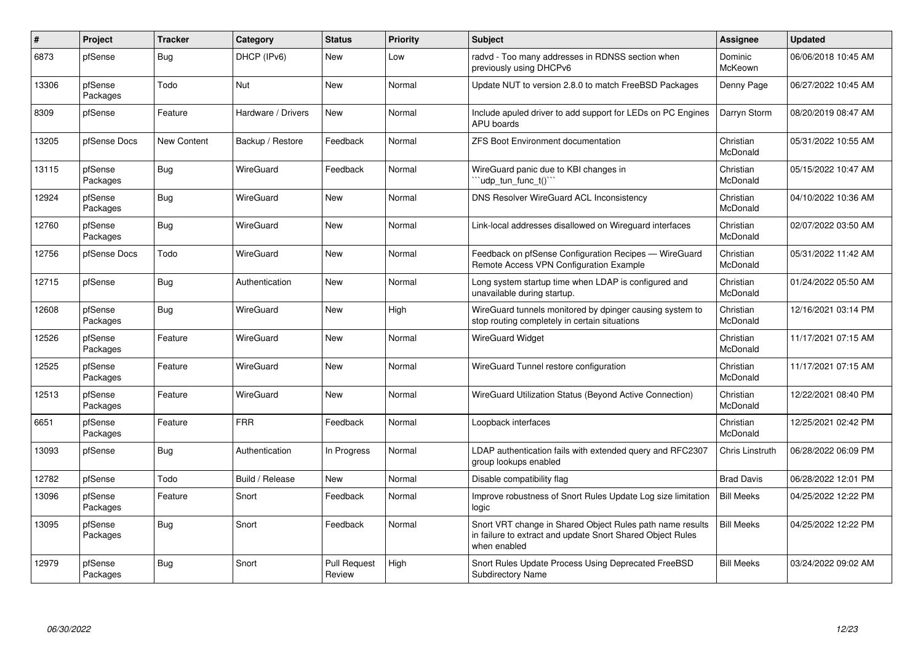| $\vert$ # | Project             | <b>Tracker</b> | Category           | <b>Status</b>                 | Priority | <b>Subject</b>                                                                                                                          | <b>Assignee</b>       | <b>Updated</b>      |
|-----------|---------------------|----------------|--------------------|-------------------------------|----------|-----------------------------------------------------------------------------------------------------------------------------------------|-----------------------|---------------------|
| 6873      | pfSense             | Bug            | DHCP (IPv6)        | New                           | Low      | radvd - Too many addresses in RDNSS section when<br>previously using DHCPv6                                                             | Dominic<br>McKeown    | 06/06/2018 10:45 AM |
| 13306     | pfSense<br>Packages | Todo           | <b>Nut</b>         | <b>New</b>                    | Normal   | Update NUT to version 2.8.0 to match FreeBSD Packages                                                                                   | Denny Page            | 06/27/2022 10:45 AM |
| 8309      | pfSense             | Feature        | Hardware / Drivers | New                           | Normal   | Include apuled driver to add support for LEDs on PC Engines<br><b>APU</b> boards                                                        | Darryn Storm          | 08/20/2019 08:47 AM |
| 13205     | pfSense Docs        | New Content    | Backup / Restore   | Feedback                      | Normal   | <b>ZFS Boot Environment documentation</b>                                                                                               | Christian<br>McDonald | 05/31/2022 10:55 AM |
| 13115     | pfSense<br>Packages | Bug            | WireGuard          | Feedback                      | Normal   | WireGuard panic due to KBI changes in<br>'udp_tun_func_t()'                                                                             | Christian<br>McDonald | 05/15/2022 10:47 AM |
| 12924     | pfSense<br>Packages | Bug            | WireGuard          | <b>New</b>                    | Normal   | DNS Resolver WireGuard ACL Inconsistency                                                                                                | Christian<br>McDonald | 04/10/2022 10:36 AM |
| 12760     | pfSense<br>Packages | <b>Bug</b>     | WireGuard          | New                           | Normal   | Link-local addresses disallowed on Wireguard interfaces                                                                                 | Christian<br>McDonald | 02/07/2022 03:50 AM |
| 12756     | pfSense Docs        | Todo           | WireGuard          | New                           | Normal   | Feedback on pfSense Configuration Recipes - WireGuard<br>Remote Access VPN Configuration Example                                        | Christian<br>McDonald | 05/31/2022 11:42 AM |
| 12715     | pfSense             | <b>Bug</b>     | Authentication     | New                           | Normal   | Long system startup time when LDAP is configured and<br>unavailable during startup.                                                     | Christian<br>McDonald | 01/24/2022 05:50 AM |
| 12608     | pfSense<br>Packages | Bug            | WireGuard          | <b>New</b>                    | High     | WireGuard tunnels monitored by dpinger causing system to<br>stop routing completely in certain situations                               | Christian<br>McDonald | 12/16/2021 03:14 PM |
| 12526     | pfSense<br>Packages | Feature        | WireGuard          | New                           | Normal   | WireGuard Widget                                                                                                                        | Christian<br>McDonald | 11/17/2021 07:15 AM |
| 12525     | pfSense<br>Packages | Feature        | WireGuard          | New                           | Normal   | WireGuard Tunnel restore configuration                                                                                                  | Christian<br>McDonald | 11/17/2021 07:15 AM |
| 12513     | pfSense<br>Packages | Feature        | WireGuard          | New                           | Normal   | WireGuard Utilization Status (Beyond Active Connection)                                                                                 | Christian<br>McDonald | 12/22/2021 08:40 PM |
| 6651      | pfSense<br>Packages | Feature        | <b>FRR</b>         | Feedback                      | Normal   | Loopback interfaces                                                                                                                     | Christian<br>McDonald | 12/25/2021 02:42 PM |
| 13093     | pfSense             | Bug            | Authentication     | In Progress                   | Normal   | LDAP authentication fails with extended query and RFC2307<br>group lookups enabled                                                      | Chris Linstruth       | 06/28/2022 06:09 PM |
| 12782     | pfSense             | Todo           | Build / Release    | New                           | Normal   | Disable compatibility flag                                                                                                              | <b>Brad Davis</b>     | 06/28/2022 12:01 PM |
| 13096     | pfSense<br>Packages | Feature        | Snort              | Feedback                      | Normal   | Improve robustness of Snort Rules Update Log size limitation<br>logic                                                                   | <b>Bill Meeks</b>     | 04/25/2022 12:22 PM |
| 13095     | pfSense<br>Packages | <b>Bug</b>     | Snort              | Feedback                      | Normal   | Snort VRT change in Shared Object Rules path name results<br>in failure to extract and update Snort Shared Object Rules<br>when enabled | <b>Bill Meeks</b>     | 04/25/2022 12:22 PM |
| 12979     | pfSense<br>Packages | <b>Bug</b>     | Snort              | <b>Pull Request</b><br>Review | High     | Snort Rules Update Process Using Deprecated FreeBSD<br><b>Subdirectory Name</b>                                                         | <b>Bill Meeks</b>     | 03/24/2022 09:02 AM |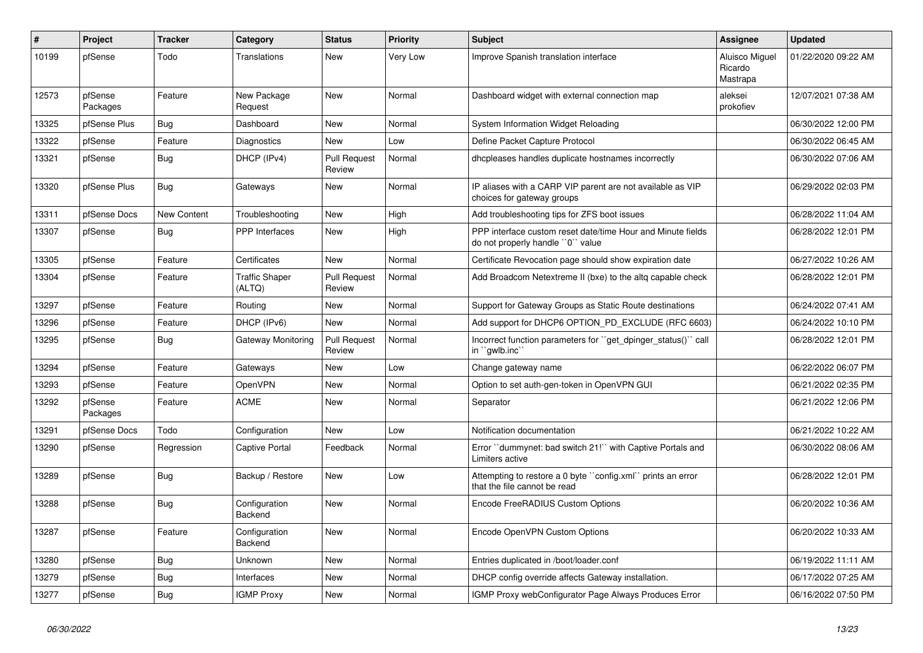| $\#$  | <b>Project</b>      | <b>Tracker</b>     | Category                        | <b>Status</b>                 | <b>Priority</b> | <b>Subject</b>                                                                                  | Assignee                              | <b>Updated</b>      |
|-------|---------------------|--------------------|---------------------------------|-------------------------------|-----------------|-------------------------------------------------------------------------------------------------|---------------------------------------|---------------------|
| 10199 | pfSense             | Todo               | Translations                    | New                           | Very Low        | Improve Spanish translation interface                                                           | Aluisco Miguel<br>Ricardo<br>Mastrapa | 01/22/2020 09:22 AM |
| 12573 | pfSense<br>Packages | Feature            | New Package<br>Request          | <b>New</b>                    | Normal          | Dashboard widget with external connection map                                                   | aleksei<br>prokofiev                  | 12/07/2021 07:38 AM |
| 13325 | pfSense Plus        | Bug                | Dashboard                       | New                           | Normal          | System Information Widget Reloading                                                             |                                       | 06/30/2022 12:00 PM |
| 13322 | pfSense             | Feature            | Diagnostics                     | New                           | Low             | Define Packet Capture Protocol                                                                  |                                       | 06/30/2022 06:45 AM |
| 13321 | pfSense             | <b>Bug</b>         | DHCP (IPv4)                     | <b>Pull Request</b><br>Review | Normal          | dhcpleases handles duplicate hostnames incorrectly                                              |                                       | 06/30/2022 07:06 AM |
| 13320 | pfSense Plus        | Bug                | Gateways                        | New                           | Normal          | IP aliases with a CARP VIP parent are not available as VIP<br>choices for gateway groups        |                                       | 06/29/2022 02:03 PM |
| 13311 | pfSense Docs        | <b>New Content</b> | Troubleshooting                 | New                           | High            | Add troubleshooting tips for ZFS boot issues                                                    |                                       | 06/28/2022 11:04 AM |
| 13307 | pfSense             | <b>Bug</b>         | PPP Interfaces                  | New                           | High            | PPP interface custom reset date/time Hour and Minute fields<br>do not properly handle "0" value |                                       | 06/28/2022 12:01 PM |
| 13305 | pfSense             | Feature            | Certificates                    | <b>New</b>                    | Normal          | Certificate Revocation page should show expiration date                                         |                                       | 06/27/2022 10:26 AM |
| 13304 | pfSense             | Feature            | <b>Traffic Shaper</b><br>(ALTQ) | <b>Pull Request</b><br>Review | Normal          | Add Broadcom Netextreme II (bxe) to the altg capable check                                      |                                       | 06/28/2022 12:01 PM |
| 13297 | pfSense             | Feature            | Routing                         | New                           | Normal          | Support for Gateway Groups as Static Route destinations                                         |                                       | 06/24/2022 07:41 AM |
| 13296 | pfSense             | Feature            | DHCP (IPv6)                     | New                           | Normal          | Add support for DHCP6 OPTION_PD_EXCLUDE (RFC 6603)                                              |                                       | 06/24/2022 10:10 PM |
| 13295 | pfSense             | Bug                | Gateway Monitoring              | <b>Pull Request</b><br>Review | Normal          | Incorrect function parameters for "get dpinger status()" call<br>in ``gwlb.inc`                 |                                       | 06/28/2022 12:01 PM |
| 13294 | pfSense             | Feature            | Gateways                        | New                           | Low             | Change gateway name                                                                             |                                       | 06/22/2022 06:07 PM |
| 13293 | pfSense             | Feature            | <b>OpenVPN</b>                  | New                           | Normal          | Option to set auth-gen-token in OpenVPN GUI                                                     |                                       | 06/21/2022 02:35 PM |
| 13292 | pfSense<br>Packages | Feature            | <b>ACME</b>                     | New                           | Normal          | Separator                                                                                       |                                       | 06/21/2022 12:06 PM |
| 13291 | pfSense Docs        | Todo               | Configuration                   | <b>New</b>                    | Low             | Notification documentation                                                                      |                                       | 06/21/2022 10:22 AM |
| 13290 | pfSense             | Regression         | Captive Portal                  | Feedback                      | Normal          | Error "dummynet: bad switch 21!" with Captive Portals and<br>Limiters active                    |                                       | 06/30/2022 08:06 AM |
| 13289 | pfSense             | <b>Bug</b>         | Backup / Restore                | New                           | Low             | Attempting to restore a 0 byte "config.xml" prints an error<br>that the file cannot be read     |                                       | 06/28/2022 12:01 PM |
| 13288 | pfSense             | <b>Bug</b>         | Configuration<br>Backend        | New                           | Normal          | Encode FreeRADIUS Custom Options                                                                |                                       | 06/20/2022 10:36 AM |
| 13287 | pfSense             | Feature            | Configuration<br>Backend        | New                           | Normal          | Encode OpenVPN Custom Options                                                                   |                                       | 06/20/2022 10:33 AM |
| 13280 | pfSense             | <b>Bug</b>         | <b>Unknown</b>                  | <b>New</b>                    | Normal          | Entries duplicated in /boot/loader.conf                                                         |                                       | 06/19/2022 11:11 AM |
| 13279 | pfSense             | <b>Bug</b>         | Interfaces                      | New                           | Normal          | DHCP config override affects Gateway installation.                                              |                                       | 06/17/2022 07:25 AM |
| 13277 | pfSense             | Bug                | <b>IGMP Proxy</b>               | New                           | Normal          | IGMP Proxy webConfigurator Page Always Produces Error                                           |                                       | 06/16/2022 07:50 PM |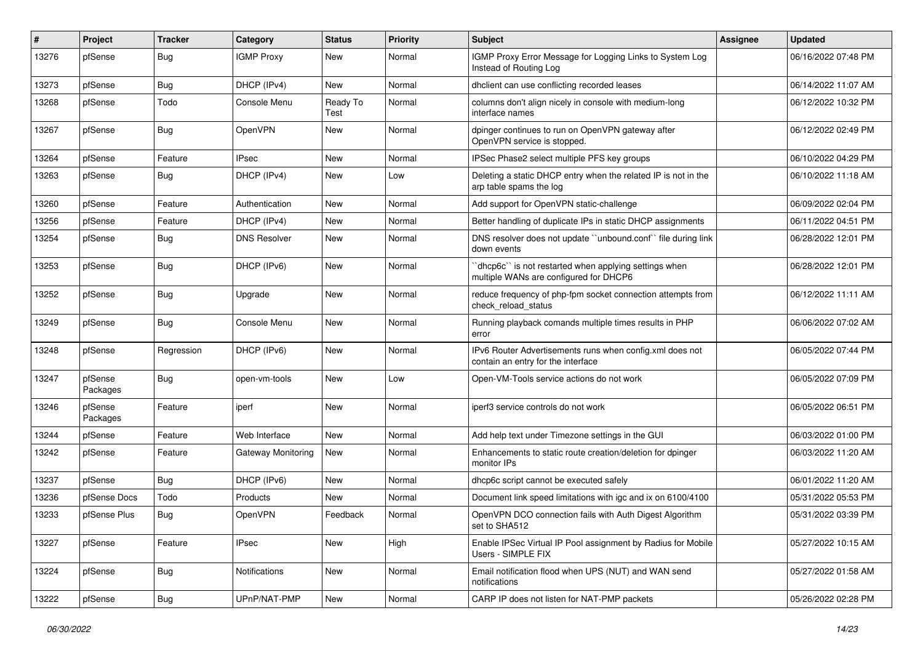| #     | Project             | <b>Tracker</b> | <b>Category</b>     | <b>Status</b>    | Priority | <b>Subject</b>                                                                                   | Assignee | <b>Updated</b>      |
|-------|---------------------|----------------|---------------------|------------------|----------|--------------------------------------------------------------------------------------------------|----------|---------------------|
| 13276 | pfSense             | Bug            | <b>IGMP Proxy</b>   | New              | Normal   | IGMP Proxy Error Message for Logging Links to System Log<br>Instead of Routing Log               |          | 06/16/2022 07:48 PM |
| 13273 | pfSense             | Bug            | DHCP (IPv4)         | New              | Normal   | dhclient can use conflicting recorded leases                                                     |          | 06/14/2022 11:07 AM |
| 13268 | pfSense             | Todo           | Console Menu        | Ready To<br>Test | Normal   | columns don't align nicely in console with medium-long<br>interface names                        |          | 06/12/2022 10:32 PM |
| 13267 | pfSense             | Bug            | OpenVPN             | New              | Normal   | dpinger continues to run on OpenVPN gateway after<br>OpenVPN service is stopped.                 |          | 06/12/2022 02:49 PM |
| 13264 | pfSense             | Feature        | <b>IPsec</b>        | New              | Normal   | IPSec Phase2 select multiple PFS key groups                                                      |          | 06/10/2022 04:29 PM |
| 13263 | pfSense             | Bug            | DHCP (IPv4)         | New              | Low      | Deleting a static DHCP entry when the related IP is not in the<br>arp table spams the log        |          | 06/10/2022 11:18 AM |
| 13260 | pfSense             | Feature        | Authentication      | New              | Normal   | Add support for OpenVPN static-challenge                                                         |          | 06/09/2022 02:04 PM |
| 13256 | pfSense             | Feature        | DHCP (IPv4)         | New              | Normal   | Better handling of duplicate IPs in static DHCP assignments                                      |          | 06/11/2022 04:51 PM |
| 13254 | pfSense             | Bug            | <b>DNS Resolver</b> | New              | Normal   | DNS resolver does not update "unbound.conf" file during link<br>down events                      |          | 06/28/2022 12:01 PM |
| 13253 | pfSense             | <b>Bug</b>     | DHCP (IPv6)         | New              | Normal   | 'dhcp6c'' is not restarted when applying settings when<br>multiple WANs are configured for DHCP6 |          | 06/28/2022 12:01 PM |
| 13252 | pfSense             | Bug            | Upgrade             | New              | Normal   | reduce frequency of php-fpm socket connection attempts from<br>check_reload_status               |          | 06/12/2022 11:11 AM |
| 13249 | pfSense             | Bug            | Console Menu        | New              | Normal   | Running playback comands multiple times results in PHP<br>error                                  |          | 06/06/2022 07:02 AM |
| 13248 | pfSense             | Regression     | DHCP (IPv6)         | New              | Normal   | IPv6 Router Advertisements runs when config.xml does not<br>contain an entry for the interface   |          | 06/05/2022 07:44 PM |
| 13247 | pfSense<br>Packages | Bug            | open-vm-tools       | New              | Low      | Open-VM-Tools service actions do not work                                                        |          | 06/05/2022 07:09 PM |
| 13246 | pfSense<br>Packages | Feature        | iperf               | New              | Normal   | iperf3 service controls do not work                                                              |          | 06/05/2022 06:51 PM |
| 13244 | pfSense             | Feature        | Web Interface       | <b>New</b>       | Normal   | Add help text under Timezone settings in the GUI                                                 |          | 06/03/2022 01:00 PM |
| 13242 | pfSense             | Feature        | Gateway Monitoring  | New              | Normal   | Enhancements to static route creation/deletion for dpinger<br>monitor IPs                        |          | 06/03/2022 11:20 AM |
| 13237 | pfSense             | Bug            | DHCP (IPv6)         | New              | Normal   | dhcp6c script cannot be executed safely                                                          |          | 06/01/2022 11:20 AM |
| 13236 | pfSense Docs        | Todo           | Products            | New              | Normal   | Document link speed limitations with igc and ix on 6100/4100                                     |          | 05/31/2022 05:53 PM |
| 13233 | pfSense Plus        | Bug            | OpenVPN             | Feedback         | Normal   | OpenVPN DCO connection fails with Auth Digest Algorithm<br>set to SHA512                         |          | 05/31/2022 03:39 PM |
| 13227 | pfSense             | Feature        | <b>IPsec</b>        | <b>New</b>       | High     | Enable IPSec Virtual IP Pool assignment by Radius for Mobile<br>Users - SIMPLE FIX               |          | 05/27/2022 10:15 AM |
| 13224 | pfSense             | Bug            | Notifications       | <b>New</b>       | Normal   | Email notification flood when UPS (NUT) and WAN send<br>notifications                            |          | 05/27/2022 01:58 AM |
| 13222 | pfSense             | i Bug          | UPnP/NAT-PMP        | New              | Normal   | CARP IP does not listen for NAT-PMP packets                                                      |          | 05/26/2022 02:28 PM |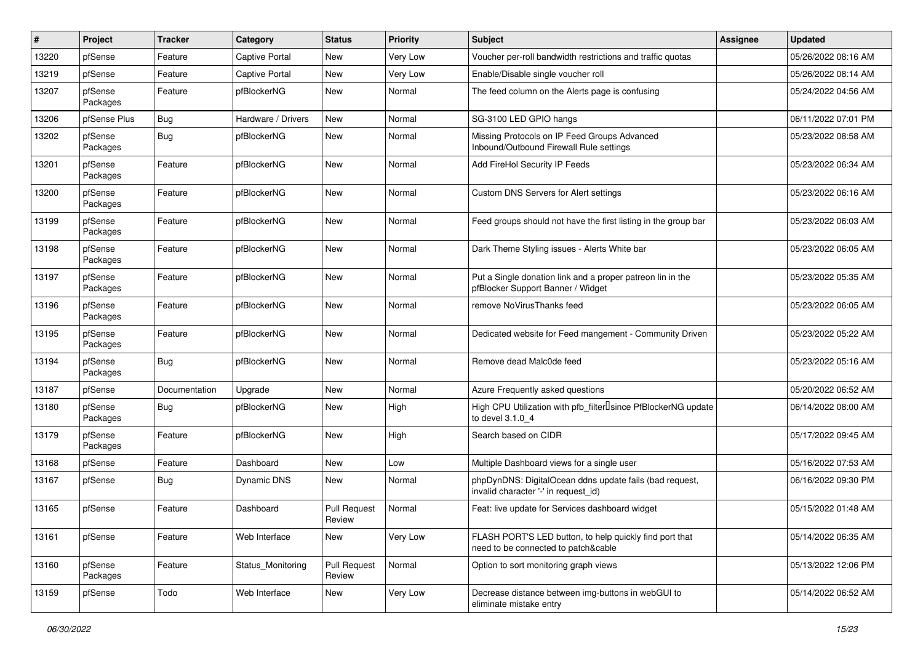| #     | Project             | <b>Tracker</b> | Category              | <b>Status</b>                 | Priority | Subject                                                                                         | <b>Assignee</b> | <b>Updated</b>      |
|-------|---------------------|----------------|-----------------------|-------------------------------|----------|-------------------------------------------------------------------------------------------------|-----------------|---------------------|
| 13220 | pfSense             | Feature        | <b>Captive Portal</b> | New                           | Very Low | Voucher per-roll bandwidth restrictions and traffic quotas                                      |                 | 05/26/2022 08:16 AM |
| 13219 | pfSense             | Feature        | <b>Captive Portal</b> | New                           | Very Low | Enable/Disable single voucher roll                                                              |                 | 05/26/2022 08:14 AM |
| 13207 | pfSense<br>Packages | Feature        | pfBlockerNG           | New                           | Normal   | The feed column on the Alerts page is confusing                                                 |                 | 05/24/2022 04:56 AM |
| 13206 | pfSense Plus        | <b>Bug</b>     | Hardware / Drivers    | <b>New</b>                    | Normal   | SG-3100 LED GPIO hangs                                                                          |                 | 06/11/2022 07:01 PM |
| 13202 | pfSense<br>Packages | Bug            | pfBlockerNG           | New                           | Normal   | Missing Protocols on IP Feed Groups Advanced<br>Inbound/Outbound Firewall Rule settings         |                 | 05/23/2022 08:58 AM |
| 13201 | pfSense<br>Packages | Feature        | pfBlockerNG           | New                           | Normal   | Add FireHol Security IP Feeds                                                                   |                 | 05/23/2022 06:34 AM |
| 13200 | pfSense<br>Packages | Feature        | pfBlockerNG           | New                           | Normal   | Custom DNS Servers for Alert settings                                                           |                 | 05/23/2022 06:16 AM |
| 13199 | pfSense<br>Packages | Feature        | pfBlockerNG           | New                           | Normal   | Feed groups should not have the first listing in the group bar                                  |                 | 05/23/2022 06:03 AM |
| 13198 | pfSense<br>Packages | Feature        | pfBlockerNG           | New                           | Normal   | Dark Theme Styling issues - Alerts White bar                                                    |                 | 05/23/2022 06:05 AM |
| 13197 | pfSense<br>Packages | Feature        | pfBlockerNG           | <b>New</b>                    | Normal   | Put a Single donation link and a proper patreon lin in the<br>pfBlocker Support Banner / Widget |                 | 05/23/2022 05:35 AM |
| 13196 | pfSense<br>Packages | Feature        | pfBlockerNG           | New                           | Normal   | remove NoVirusThanks feed                                                                       |                 | 05/23/2022 06:05 AM |
| 13195 | pfSense<br>Packages | Feature        | pfBlockerNG           | New                           | Normal   | Dedicated website for Feed mangement - Community Driven                                         |                 | 05/23/2022 05:22 AM |
| 13194 | pfSense<br>Packages | <b>Bug</b>     | pfBlockerNG           | New                           | Normal   | Remove dead Malc0de feed                                                                        |                 | 05/23/2022 05:16 AM |
| 13187 | pfSense             | Documentation  | Upgrade               | <b>New</b>                    | Normal   | Azure Frequently asked questions                                                                |                 | 05/20/2022 06:52 AM |
| 13180 | pfSense<br>Packages | Bug            | pfBlockerNG           | New                           | High     | High CPU Utilization with pfb_filter <sup>[]</sup> since PfBlockerNG update<br>to devel 3.1.0 4 |                 | 06/14/2022 08:00 AM |
| 13179 | pfSense<br>Packages | Feature        | pfBlockerNG           | <b>New</b>                    | High     | Search based on CIDR                                                                            |                 | 05/17/2022 09:45 AM |
| 13168 | pfSense             | Feature        | Dashboard             | New                           | Low      | Multiple Dashboard views for a single user                                                      |                 | 05/16/2022 07:53 AM |
| 13167 | pfSense             | <b>Bug</b>     | Dynamic DNS           | New                           | Normal   | phpDynDNS: DigitalOcean ddns update fails (bad request,<br>invalid character '-' in request id) |                 | 06/16/2022 09:30 PM |
| 13165 | pfSense             | Feature        | Dashboard             | <b>Pull Request</b><br>Review | Normal   | Feat: live update for Services dashboard widget                                                 |                 | 05/15/2022 01:48 AM |
| 13161 | pfSense             | Feature        | Web Interface         | New                           | Very Low | FLASH PORT'S LED button, to help quickly find port that<br>need to be connected to patch&cable  |                 | 05/14/2022 06:35 AM |
| 13160 | pfSense<br>Packages | Feature        | Status_Monitoring     | Pull Request<br>Review        | Normal   | Option to sort monitoring graph views                                                           |                 | 05/13/2022 12:06 PM |
| 13159 | pfSense             | Todo           | Web Interface         | New                           | Very Low | Decrease distance between img-buttons in webGUI to<br>eliminate mistake entry                   |                 | 05/14/2022 06:52 AM |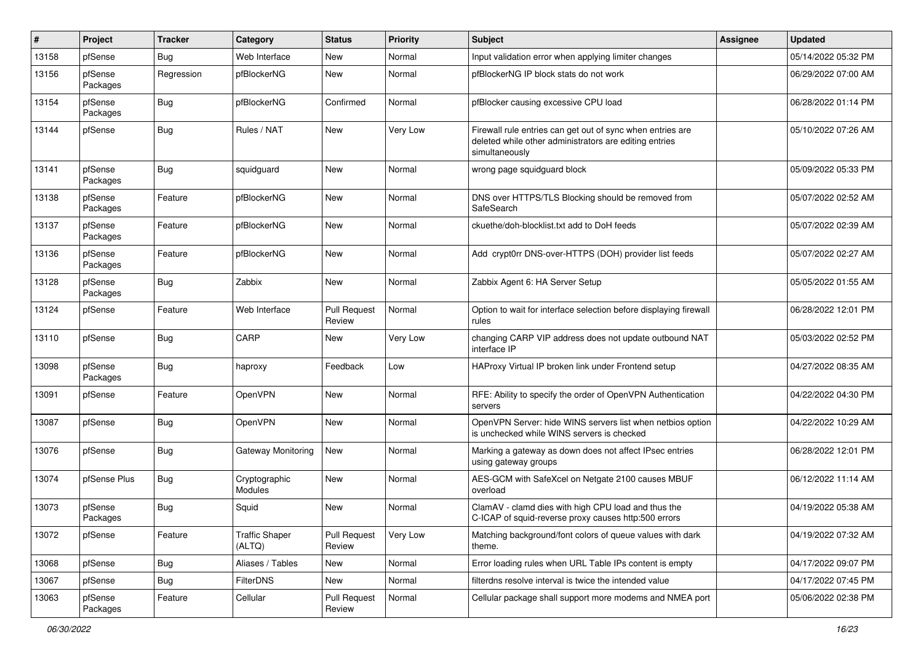| ∦     | Project             | <b>Tracker</b> | Category                        | <b>Status</b>                 | <b>Priority</b> | Subject                                                                                                                                | <b>Assignee</b> | <b>Updated</b>      |
|-------|---------------------|----------------|---------------------------------|-------------------------------|-----------------|----------------------------------------------------------------------------------------------------------------------------------------|-----------------|---------------------|
| 13158 | pfSense             | Bug            | Web Interface                   | New                           | Normal          | Input validation error when applying limiter changes                                                                                   |                 | 05/14/2022 05:32 PM |
| 13156 | pfSense<br>Packages | Regression     | pfBlockerNG                     | New                           | Normal          | pfBlockerNG IP block stats do not work                                                                                                 |                 | 06/29/2022 07:00 AM |
| 13154 | pfSense<br>Packages | Bug            | pfBlockerNG                     | Confirmed                     | Normal          | pfBlocker causing excessive CPU load                                                                                                   |                 | 06/28/2022 01:14 PM |
| 13144 | pfSense             | Bug            | Rules / NAT                     | New                           | Very Low        | Firewall rule entries can get out of sync when entries are<br>deleted while other administrators are editing entries<br>simultaneously |                 | 05/10/2022 07:26 AM |
| 13141 | pfSense<br>Packages | Bug            | squidguard                      | New                           | Normal          | wrong page squidguard block                                                                                                            |                 | 05/09/2022 05:33 PM |
| 13138 | pfSense<br>Packages | Feature        | pfBlockerNG                     | New                           | Normal          | DNS over HTTPS/TLS Blocking should be removed from<br>SafeSearch                                                                       |                 | 05/07/2022 02:52 AM |
| 13137 | pfSense<br>Packages | Feature        | pfBlockerNG                     | New                           | Normal          | ckuethe/doh-blocklist.txt add to DoH feeds                                                                                             |                 | 05/07/2022 02:39 AM |
| 13136 | pfSense<br>Packages | Feature        | pfBlockerNG                     | New                           | Normal          | Add crypt0rr DNS-over-HTTPS (DOH) provider list feeds                                                                                  |                 | 05/07/2022 02:27 AM |
| 13128 | pfSense<br>Packages | <b>Bug</b>     | Zabbix                          | <b>New</b>                    | Normal          | Zabbix Agent 6: HA Server Setup                                                                                                        |                 | 05/05/2022 01:55 AM |
| 13124 | pfSense             | Feature        | Web Interface                   | <b>Pull Request</b><br>Review | Normal          | Option to wait for interface selection before displaying firewall<br>rules                                                             |                 | 06/28/2022 12:01 PM |
| 13110 | pfSense             | Bug            | CARP                            | New                           | <b>Very Low</b> | changing CARP VIP address does not update outbound NAT<br>interface IP                                                                 |                 | 05/03/2022 02:52 PM |
| 13098 | pfSense<br>Packages | Bug            | haproxy                         | Feedback                      | Low             | HAProxy Virtual IP broken link under Frontend setup                                                                                    |                 | 04/27/2022 08:35 AM |
| 13091 | pfSense             | Feature        | OpenVPN                         | New                           | Normal          | RFE: Ability to specify the order of OpenVPN Authentication<br>servers                                                                 |                 | 04/22/2022 04:30 PM |
| 13087 | pfSense             | Bug            | OpenVPN                         | <b>New</b>                    | Normal          | OpenVPN Server: hide WINS servers list when netbios option<br>is unchecked while WINS servers is checked                               |                 | 04/22/2022 10:29 AM |
| 13076 | pfSense             | Bug            | Gateway Monitoring              | New                           | Normal          | Marking a gateway as down does not affect IPsec entries<br>using gateway groups                                                        |                 | 06/28/2022 12:01 PM |
| 13074 | pfSense Plus        | Bug            | Cryptographic<br>Modules        | <b>New</b>                    | Normal          | AES-GCM with SafeXcel on Netgate 2100 causes MBUF<br>overload                                                                          |                 | 06/12/2022 11:14 AM |
| 13073 | pfSense<br>Packages | Bug            | Squid                           | <b>New</b>                    | Normal          | ClamAV - clamd dies with high CPU load and thus the<br>C-ICAP of squid-reverse proxy causes http:500 errors                            |                 | 04/19/2022 05:38 AM |
| 13072 | pfSense             | Feature        | <b>Traffic Shaper</b><br>(ALTQ) | <b>Pull Request</b><br>Review | Very Low        | Matching background/font colors of queue values with dark<br>theme.                                                                    |                 | 04/19/2022 07:32 AM |
| 13068 | pfSense             | Bug            | Aliases / Tables                | New                           | Normal          | Error loading rules when URL Table IPs content is empty                                                                                |                 | 04/17/2022 09:07 PM |
| 13067 | pfSense             | Bug            | FilterDNS                       | New                           | Normal          | filterdns resolve interval is twice the intended value                                                                                 |                 | 04/17/2022 07:45 PM |
| 13063 | pfSense<br>Packages | Feature        | Cellular                        | <b>Pull Request</b><br>Review | Normal          | Cellular package shall support more modems and NMEA port                                                                               |                 | 05/06/2022 02:38 PM |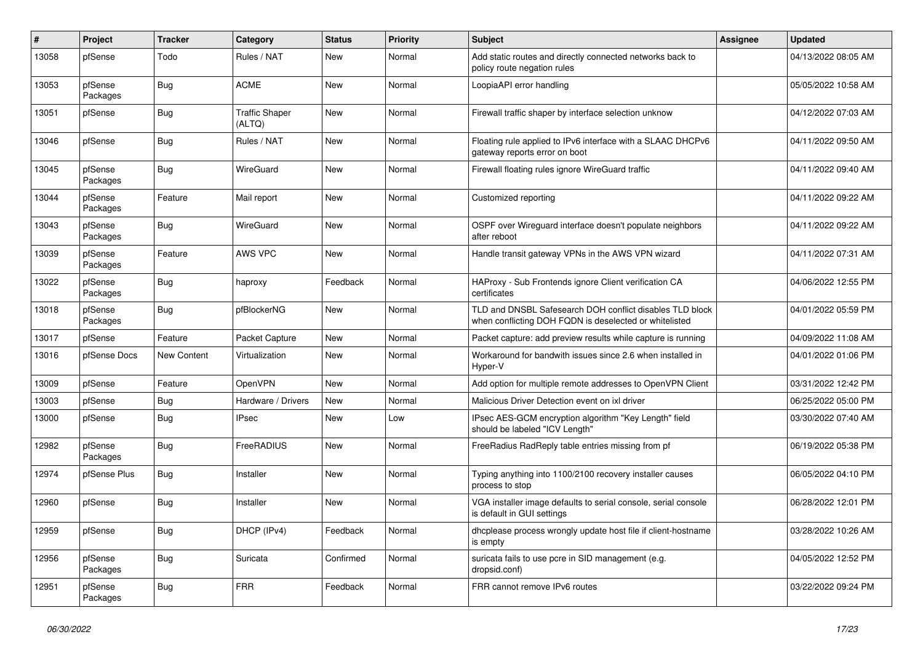| $\vert$ # | Project             | <b>Tracker</b> | Category                        | <b>Status</b> | <b>Priority</b> | <b>Subject</b>                                                                                                     | <b>Assignee</b> | <b>Updated</b>      |
|-----------|---------------------|----------------|---------------------------------|---------------|-----------------|--------------------------------------------------------------------------------------------------------------------|-----------------|---------------------|
| 13058     | pfSense             | Todo           | Rules / NAT                     | New           | Normal          | Add static routes and directly connected networks back to<br>policy route negation rules                           |                 | 04/13/2022 08:05 AM |
| 13053     | pfSense<br>Packages | Bug            | <b>ACME</b>                     | New           | Normal          | LoopiaAPI error handling                                                                                           |                 | 05/05/2022 10:58 AM |
| 13051     | pfSense             | Bug            | <b>Traffic Shaper</b><br>(ALTQ) | <b>New</b>    | Normal          | Firewall traffic shaper by interface selection unknow                                                              |                 | 04/12/2022 07:03 AM |
| 13046     | pfSense             | Bug            | Rules / NAT                     | New           | Normal          | Floating rule applied to IPv6 interface with a SLAAC DHCPv6<br>gateway reports error on boot                       |                 | 04/11/2022 09:50 AM |
| 13045     | pfSense<br>Packages | <b>Bug</b>     | WireGuard                       | New           | Normal          | Firewall floating rules ignore WireGuard traffic                                                                   |                 | 04/11/2022 09:40 AM |
| 13044     | pfSense<br>Packages | Feature        | Mail report                     | <b>New</b>    | Normal          | Customized reporting                                                                                               |                 | 04/11/2022 09:22 AM |
| 13043     | pfSense<br>Packages | Bug            | WireGuard                       | New           | Normal          | OSPF over Wireguard interface doesn't populate neighbors<br>after reboot                                           |                 | 04/11/2022 09:22 AM |
| 13039     | pfSense<br>Packages | Feature        | <b>AWS VPC</b>                  | New           | Normal          | Handle transit gateway VPNs in the AWS VPN wizard                                                                  |                 | 04/11/2022 07:31 AM |
| 13022     | pfSense<br>Packages | Bug            | haproxy                         | Feedback      | Normal          | HAProxy - Sub Frontends ignore Client verification CA<br>certificates                                              |                 | 04/06/2022 12:55 PM |
| 13018     | pfSense<br>Packages | Bug            | pfBlockerNG                     | New           | Normal          | TLD and DNSBL Safesearch DOH conflict disables TLD block<br>when conflicting DOH FQDN is deselected or whitelisted |                 | 04/01/2022 05:59 PM |
| 13017     | pfSense             | Feature        | Packet Capture                  | New           | Normal          | Packet capture: add preview results while capture is running                                                       |                 | 04/09/2022 11:08 AM |
| 13016     | pfSense Docs        | New Content    | Virtualization                  | New           | Normal          | Workaround for bandwith issues since 2.6 when installed in<br>Hyper-V                                              |                 | 04/01/2022 01:06 PM |
| 13009     | pfSense             | Feature        | <b>OpenVPN</b>                  | <b>New</b>    | Normal          | Add option for multiple remote addresses to OpenVPN Client                                                         |                 | 03/31/2022 12:42 PM |
| 13003     | pfSense             | Bug            | Hardware / Drivers              | <b>New</b>    | Normal          | Malicious Driver Detection event on ixl driver                                                                     |                 | 06/25/2022 05:00 PM |
| 13000     | pfSense             | Bug            | <b>IPsec</b>                    | New           | Low             | IPsec AES-GCM encryption algorithm "Key Length" field<br>should be labeled "ICV Length"                            |                 | 03/30/2022 07:40 AM |
| 12982     | pfSense<br>Packages | Bug            | FreeRADIUS                      | New           | Normal          | FreeRadius RadReply table entries missing from pf                                                                  |                 | 06/19/2022 05:38 PM |
| 12974     | pfSense Plus        | Bug            | Installer                       | <b>New</b>    | Normal          | Typing anything into 1100/2100 recovery installer causes<br>process to stop                                        |                 | 06/05/2022 04:10 PM |
| 12960     | pfSense             | <b>Bug</b>     | Installer                       | <b>New</b>    | Normal          | VGA installer image defaults to serial console, serial console<br>is default in GUI settings                       |                 | 06/28/2022 12:01 PM |
| 12959     | pfSense             | Bug            | DHCP (IPv4)                     | Feedback      | Normal          | dhcplease process wrongly update host file if client-hostname<br>is empty                                          |                 | 03/28/2022 10:26 AM |
| 12956     | pfSense<br>Packages | Bug            | Suricata                        | Confirmed     | Normal          | suricata fails to use pcre in SID management (e.g.<br>dropsid.conf)                                                |                 | 04/05/2022 12:52 PM |
| 12951     | pfSense<br>Packages | Bug            | <b>FRR</b>                      | Feedback      | Normal          | FRR cannot remove IPv6 routes                                                                                      |                 | 03/22/2022 09:24 PM |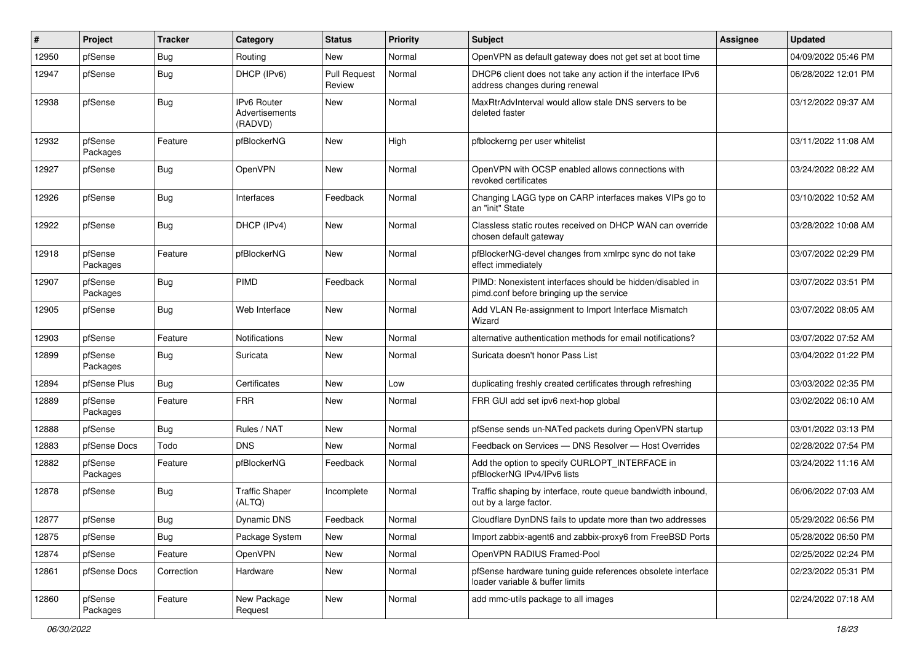| #     | Project             | <b>Tracker</b> | <b>Category</b>                                 | <b>Status</b>                 | Priority | Subject                                                                                               | <b>Assignee</b> | <b>Updated</b>      |
|-------|---------------------|----------------|-------------------------------------------------|-------------------------------|----------|-------------------------------------------------------------------------------------------------------|-----------------|---------------------|
| 12950 | pfSense             | Bug            | Routing                                         | New                           | Normal   | OpenVPN as default gateway does not get set at boot time                                              |                 | 04/09/2022 05:46 PM |
| 12947 | pfSense             | Bug            | DHCP (IPv6)                                     | <b>Pull Request</b><br>Review | Normal   | DHCP6 client does not take any action if the interface IPv6<br>address changes during renewal         |                 | 06/28/2022 12:01 PM |
| 12938 | pfSense             | Bug            | <b>IPv6 Router</b><br>Advertisements<br>(RADVD) | New                           | Normal   | MaxRtrAdvInterval would allow stale DNS servers to be<br>deleted faster                               |                 | 03/12/2022 09:37 AM |
| 12932 | pfSense<br>Packages | Feature        | pfBlockerNG                                     | New                           | High     | pfblockerng per user whitelist                                                                        |                 | 03/11/2022 11:08 AM |
| 12927 | pfSense             | Bug            | OpenVPN                                         | New                           | Normal   | OpenVPN with OCSP enabled allows connections with<br>revoked certificates                             |                 | 03/24/2022 08:22 AM |
| 12926 | pfSense             | Bug            | Interfaces                                      | Feedback                      | Normal   | Changing LAGG type on CARP interfaces makes VIPs go to<br>an "init" State                             |                 | 03/10/2022 10:52 AM |
| 12922 | pfSense             | Bug            | DHCP (IPv4)                                     | New                           | Normal   | Classless static routes received on DHCP WAN can override<br>chosen default gateway                   |                 | 03/28/2022 10:08 AM |
| 12918 | pfSense<br>Packages | Feature        | pfBlockerNG                                     | New                           | Normal   | pfBlockerNG-devel changes from xmlrpc sync do not take<br>effect immediately                          |                 | 03/07/2022 02:29 PM |
| 12907 | pfSense<br>Packages | Bug            | <b>PIMD</b>                                     | Feedback                      | Normal   | PIMD: Nonexistent interfaces should be hidden/disabled in<br>pimd.conf before bringing up the service |                 | 03/07/2022 03:51 PM |
| 12905 | pfSense             | Bug            | Web Interface                                   | <b>New</b>                    | Normal   | Add VLAN Re-assignment to Import Interface Mismatch<br>Wizard                                         |                 | 03/07/2022 08:05 AM |
| 12903 | pfSense             | Feature        | <b>Notifications</b>                            | New                           | Normal   | alternative authentication methods for email notifications?                                           |                 | 03/07/2022 07:52 AM |
| 12899 | pfSense<br>Packages | Bug            | Suricata                                        | New                           | Normal   | Suricata doesn't honor Pass List                                                                      |                 | 03/04/2022 01:22 PM |
| 12894 | pfSense Plus        | Bug            | Certificates                                    | New                           | Low      | duplicating freshly created certificates through refreshing                                           |                 | 03/03/2022 02:35 PM |
| 12889 | pfSense<br>Packages | Feature        | <b>FRR</b>                                      | New                           | Normal   | FRR GUI add set ipv6 next-hop global                                                                  |                 | 03/02/2022 06:10 AM |
| 12888 | pfSense             | Bug            | Rules / NAT                                     | <b>New</b>                    | Normal   | pfSense sends un-NATed packets during OpenVPN startup                                                 |                 | 03/01/2022 03:13 PM |
| 12883 | pfSense Docs        | Todo           | <b>DNS</b>                                      | New                           | Normal   | Feedback on Services - DNS Resolver - Host Overrides                                                  |                 | 02/28/2022 07:54 PM |
| 12882 | pfSense<br>Packages | Feature        | pfBlockerNG                                     | Feedback                      | Normal   | Add the option to specify CURLOPT_INTERFACE in<br>pfBlockerNG IPv4/IPv6 lists                         |                 | 03/24/2022 11:16 AM |
| 12878 | pfSense             | <b>Bug</b>     | <b>Traffic Shaper</b><br>(ALTQ)                 | Incomplete                    | Normal   | Traffic shaping by interface, route queue bandwidth inbound,<br>out by a large factor.                |                 | 06/06/2022 07:03 AM |
| 12877 | pfSense             | Bug            | Dynamic DNS                                     | Feedback                      | Normal   | Cloudflare DynDNS fails to update more than two addresses                                             |                 | 05/29/2022 06:56 PM |
| 12875 | pfSense             | Bug            | Package System                                  | New                           | Normal   | Import zabbix-agent6 and zabbix-proxy6 from FreeBSD Ports                                             |                 | 05/28/2022 06:50 PM |
| 12874 | pfSense             | Feature        | OpenVPN                                         | New                           | Normal   | OpenVPN RADIUS Framed-Pool                                                                            |                 | 02/25/2022 02:24 PM |
| 12861 | pfSense Docs        | Correction     | Hardware                                        | New                           | Normal   | pfSense hardware tuning guide references obsolete interface<br>loader variable & buffer limits        |                 | 02/23/2022 05:31 PM |
| 12860 | pfSense<br>Packages | Feature        | New Package<br>Request                          | New                           | Normal   | add mmc-utils package to all images                                                                   |                 | 02/24/2022 07:18 AM |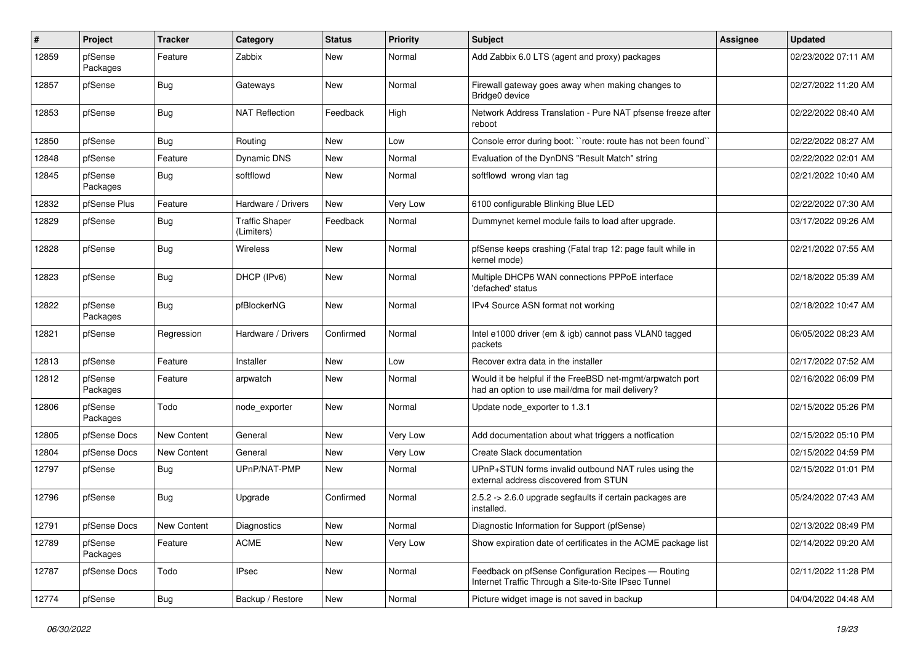| #     | Project             | <b>Tracker</b> | Category                            | <b>Status</b> | <b>Priority</b> | Subject                                                                                                       | Assignee | <b>Updated</b>      |
|-------|---------------------|----------------|-------------------------------------|---------------|-----------------|---------------------------------------------------------------------------------------------------------------|----------|---------------------|
| 12859 | pfSense<br>Packages | Feature        | Zabbix                              | New           | Normal          | Add Zabbix 6.0 LTS (agent and proxy) packages                                                                 |          | 02/23/2022 07:11 AM |
| 12857 | pfSense             | Bug            | Gateways                            | New           | Normal          | Firewall gateway goes away when making changes to<br>Bridge0 device                                           |          | 02/27/2022 11:20 AM |
| 12853 | pfSense             | <b>Bug</b>     | <b>NAT Reflection</b>               | Feedback      | High            | Network Address Translation - Pure NAT pfsense freeze after<br>reboot                                         |          | 02/22/2022 08:40 AM |
| 12850 | pfSense             | Bug            | Routing                             | <b>New</b>    | Low             | Console error during boot: "route: route has not been found"                                                  |          | 02/22/2022 08:27 AM |
| 12848 | pfSense             | Feature        | Dynamic DNS                         | New           | Normal          | Evaluation of the DynDNS "Result Match" string                                                                |          | 02/22/2022 02:01 AM |
| 12845 | pfSense<br>Packages | <b>Bug</b>     | softflowd                           | New           | Normal          | softflowd wrong vlan tag                                                                                      |          | 02/21/2022 10:40 AM |
| 12832 | pfSense Plus        | Feature        | Hardware / Drivers                  | New           | Very Low        | 6100 configurable Blinking Blue LED                                                                           |          | 02/22/2022 07:30 AM |
| 12829 | pfSense             | <b>Bug</b>     | <b>Traffic Shaper</b><br>(Limiters) | Feedback      | Normal          | Dummynet kernel module fails to load after upgrade.                                                           |          | 03/17/2022 09:26 AM |
| 12828 | pfSense             | Bug            | Wireless                            | New           | Normal          | pfSense keeps crashing (Fatal trap 12: page fault while in<br>kernel mode)                                    |          | 02/21/2022 07:55 AM |
| 12823 | pfSense             | <b>Bug</b>     | DHCP (IPv6)                         | <b>New</b>    | Normal          | Multiple DHCP6 WAN connections PPPoE interface<br>'defached' status                                           |          | 02/18/2022 05:39 AM |
| 12822 | pfSense<br>Packages | Bug            | pfBlockerNG                         | <b>New</b>    | Normal          | IPv4 Source ASN format not working                                                                            |          | 02/18/2022 10:47 AM |
| 12821 | pfSense             | Regression     | Hardware / Drivers                  | Confirmed     | Normal          | Intel e1000 driver (em & igb) cannot pass VLAN0 tagged<br>packets                                             |          | 06/05/2022 08:23 AM |
| 12813 | pfSense             | Feature        | Installer                           | New           | Low             | Recover extra data in the installer                                                                           |          | 02/17/2022 07:52 AM |
| 12812 | pfSense<br>Packages | Feature        | arpwatch                            | New           | Normal          | Would it be helpful if the FreeBSD net-mgmt/arpwatch port<br>had an option to use mail/dma for mail delivery? |          | 02/16/2022 06:09 PM |
| 12806 | pfSense<br>Packages | Todo           | node_exporter                       | <b>New</b>    | Normal          | Update node_exporter to 1.3.1                                                                                 |          | 02/15/2022 05:26 PM |
| 12805 | pfSense Docs        | New Content    | General                             | <b>New</b>    | Very Low        | Add documentation about what triggers a notfication                                                           |          | 02/15/2022 05:10 PM |
| 12804 | pfSense Docs        | New Content    | General                             | New           | Very Low        | Create Slack documentation                                                                                    |          | 02/15/2022 04:59 PM |
| 12797 | pfSense             | <b>Bug</b>     | UPnP/NAT-PMP                        | New           | Normal          | UPnP+STUN forms invalid outbound NAT rules using the<br>external address discovered from STUN                 |          | 02/15/2022 01:01 PM |
| 12796 | pfSense             | <b>Bug</b>     | Upgrade                             | Confirmed     | Normal          | 2.5.2 -> 2.6.0 upgrade segfaults if certain packages are<br>installed.                                        |          | 05/24/2022 07:43 AM |
| 12791 | pfSense Docs        | New Content    | Diagnostics                         | New           | Normal          | Diagnostic Information for Support (pfSense)                                                                  |          | 02/13/2022 08:49 PM |
| 12789 | pfSense<br>Packages | Feature        | <b>ACME</b>                         | New           | Very Low        | Show expiration date of certificates in the ACME package list                                                 |          | 02/14/2022 09:20 AM |
| 12787 | pfSense Docs        | Todo           | <b>IPsec</b>                        | New           | Normal          | Feedback on pfSense Configuration Recipes - Routing<br>Internet Traffic Through a Site-to-Site IPsec Tunnel   |          | 02/11/2022 11:28 PM |
| 12774 | pfSense             | Bug            | Backup / Restore                    | New           | Normal          | Picture widget image is not saved in backup                                                                   |          | 04/04/2022 04:48 AM |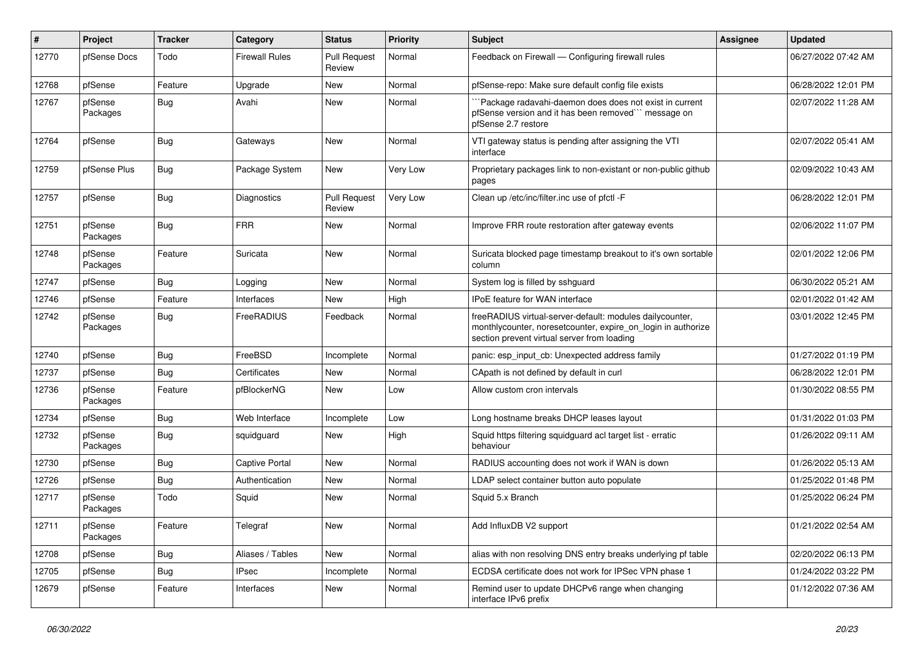| $\#$  | Project             | <b>Tracker</b> | Category              | <b>Status</b>                 | <b>Priority</b> | <b>Subject</b>                                                                                                                                                          | <b>Assignee</b> | <b>Updated</b>      |
|-------|---------------------|----------------|-----------------------|-------------------------------|-----------------|-------------------------------------------------------------------------------------------------------------------------------------------------------------------------|-----------------|---------------------|
| 12770 | pfSense Docs        | Todo           | <b>Firewall Rules</b> | <b>Pull Request</b><br>Review | Normal          | Feedback on Firewall - Configuring firewall rules                                                                                                                       |                 | 06/27/2022 07:42 AM |
| 12768 | pfSense             | Feature        | Upgrade               | New                           | Normal          | pfSense-repo: Make sure default config file exists                                                                                                                      |                 | 06/28/2022 12:01 PM |
| 12767 | pfSense<br>Packages | Bug            | Avahi                 | New                           | Normal          | `Package radavahi-daemon does does not exist in current<br>pfSense version and it has been removed" message on<br>pfSense 2.7 restore                                   |                 | 02/07/2022 11:28 AM |
| 12764 | pfSense             | Bug            | Gateways              | <b>New</b>                    | Normal          | VTI gateway status is pending after assigning the VTI<br>interface                                                                                                      |                 | 02/07/2022 05:41 AM |
| 12759 | pfSense Plus        | Bug            | Package System        | New                           | Very Low        | Proprietary packages link to non-existant or non-public github<br>pages                                                                                                 |                 | 02/09/2022 10:43 AM |
| 12757 | pfSense             | <b>Bug</b>     | <b>Diagnostics</b>    | <b>Pull Request</b><br>Review | Very Low        | Clean up /etc/inc/filter.inc use of pfctl -F                                                                                                                            |                 | 06/28/2022 12:01 PM |
| 12751 | pfSense<br>Packages | <b>Bug</b>     | <b>FRR</b>            | New                           | Normal          | Improve FRR route restoration after gateway events                                                                                                                      |                 | 02/06/2022 11:07 PM |
| 12748 | pfSense<br>Packages | Feature        | Suricata              | New                           | Normal          | Suricata blocked page timestamp breakout to it's own sortable<br>column                                                                                                 |                 | 02/01/2022 12:06 PM |
| 12747 | pfSense             | Bug            | Logging               | New                           | Normal          | System log is filled by sshguard                                                                                                                                        |                 | 06/30/2022 05:21 AM |
| 12746 | pfSense             | Feature        | Interfaces            | New                           | High            | IPoE feature for WAN interface                                                                                                                                          |                 | 02/01/2022 01:42 AM |
| 12742 | pfSense<br>Packages | <b>Bug</b>     | FreeRADIUS            | Feedback                      | Normal          | freeRADIUS virtual-server-default: modules dailycounter,<br>monthlycounter, noresetcounter, expire on login in authorize<br>section prevent virtual server from loading |                 | 03/01/2022 12:45 PM |
| 12740 | pfSense             | <b>Bug</b>     | FreeBSD               | Incomplete                    | Normal          | panic: esp_input_cb: Unexpected address family                                                                                                                          |                 | 01/27/2022 01:19 PM |
| 12737 | pfSense             | Bug            | Certificates          | New                           | Normal          | CApath is not defined by default in curl                                                                                                                                |                 | 06/28/2022 12:01 PM |
| 12736 | pfSense<br>Packages | Feature        | pfBlockerNG           | New                           | Low             | Allow custom cron intervals                                                                                                                                             |                 | 01/30/2022 08:55 PM |
| 12734 | pfSense             | <b>Bug</b>     | Web Interface         | Incomplete                    | Low             | Long hostname breaks DHCP leases layout                                                                                                                                 |                 | 01/31/2022 01:03 PM |
| 12732 | pfSense<br>Packages | <b>Bug</b>     | squidguard            | <b>New</b>                    | High            | Squid https filtering squidguard acl target list - erratic<br>behaviour                                                                                                 |                 | 01/26/2022 09:11 AM |
| 12730 | pfSense             | <b>Bug</b>     | <b>Captive Portal</b> | <b>New</b>                    | Normal          | RADIUS accounting does not work if WAN is down                                                                                                                          |                 | 01/26/2022 05:13 AM |
| 12726 | pfSense             | <b>Bug</b>     | Authentication        | New                           | Normal          | LDAP select container button auto populate                                                                                                                              |                 | 01/25/2022 01:48 PM |
| 12717 | pfSense<br>Packages | Todo           | Squid                 | New                           | Normal          | Squid 5.x Branch                                                                                                                                                        |                 | 01/25/2022 06:24 PM |
| 12711 | pfSense<br>Packages | Feature        | Telegraf              | New                           | Normal          | Add InfluxDB V2 support                                                                                                                                                 |                 | 01/21/2022 02:54 AM |
| 12708 | pfSense             | Bug            | Aliases / Tables      | New                           | Normal          | alias with non resolving DNS entry breaks underlying pf table                                                                                                           |                 | 02/20/2022 06:13 PM |
| 12705 | pfSense             | Bug            | <b>IPsec</b>          | Incomplete                    | Normal          | ECDSA certificate does not work for IPSec VPN phase 1                                                                                                                   |                 | 01/24/2022 03:22 PM |
| 12679 | pfSense             | Feature        | Interfaces            | New                           | Normal          | Remind user to update DHCPv6 range when changing<br>interface IPv6 prefix                                                                                               |                 | 01/12/2022 07:36 AM |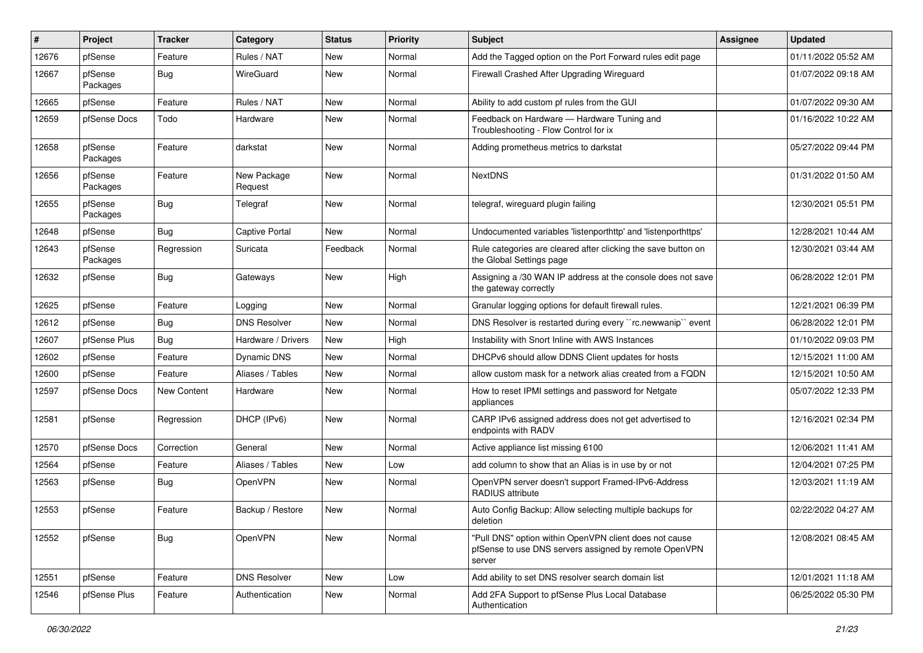| #     | Project             | <b>Tracker</b> | Category               | <b>Status</b> | Priority | Subject                                                                                                                   | <b>Assignee</b> | <b>Updated</b>      |
|-------|---------------------|----------------|------------------------|---------------|----------|---------------------------------------------------------------------------------------------------------------------------|-----------------|---------------------|
| 12676 | pfSense             | Feature        | Rules / NAT            | New           | Normal   | Add the Tagged option on the Port Forward rules edit page                                                                 |                 | 01/11/2022 05:52 AM |
| 12667 | pfSense<br>Packages | Bug            | WireGuard              | New           | Normal   | Firewall Crashed After Upgrading Wireguard                                                                                |                 | 01/07/2022 09:18 AM |
| 12665 | pfSense             | Feature        | Rules / NAT            | New           | Normal   | Ability to add custom pf rules from the GUI                                                                               |                 | 01/07/2022 09:30 AM |
| 12659 | pfSense Docs        | Todo           | Hardware               | New           | Normal   | Feedback on Hardware - Hardware Tuning and<br>Troubleshooting - Flow Control for ix                                       |                 | 01/16/2022 10:22 AM |
| 12658 | pfSense<br>Packages | Feature        | darkstat               | New           | Normal   | Adding prometheus metrics to darkstat                                                                                     |                 | 05/27/2022 09:44 PM |
| 12656 | pfSense<br>Packages | Feature        | New Package<br>Request | New           | Normal   | <b>NextDNS</b>                                                                                                            |                 | 01/31/2022 01:50 AM |
| 12655 | pfSense<br>Packages | Bug            | Telegraf               | New           | Normal   | telegraf, wireguard plugin failing                                                                                        |                 | 12/30/2021 05:51 PM |
| 12648 | pfSense             | Bug            | <b>Captive Portal</b>  | <b>New</b>    | Normal   | Undocumented variables 'listenporthttp' and 'listenporthttps'                                                             |                 | 12/28/2021 10:44 AM |
| 12643 | pfSense<br>Packages | Regression     | Suricata               | Feedback      | Normal   | Rule categories are cleared after clicking the save button on<br>the Global Settings page                                 |                 | 12/30/2021 03:44 AM |
| 12632 | pfSense             | Bug            | Gateways               | New           | High     | Assigning a /30 WAN IP address at the console does not save<br>the gateway correctly                                      |                 | 06/28/2022 12:01 PM |
| 12625 | pfSense             | Feature        | Logging                | New           | Normal   | Granular logging options for default firewall rules.                                                                      |                 | 12/21/2021 06:39 PM |
| 12612 | pfSense             | Bug            | <b>DNS Resolver</b>    | <b>New</b>    | Normal   | DNS Resolver is restarted during every "rc.newwanip" event                                                                |                 | 06/28/2022 12:01 PM |
| 12607 | pfSense Plus        | Bug            | Hardware / Drivers     | New           | High     | Instability with Snort Inline with AWS Instances                                                                          |                 | 01/10/2022 09:03 PM |
| 12602 | pfSense             | Feature        | Dynamic DNS            | New           | Normal   | DHCPv6 should allow DDNS Client updates for hosts                                                                         |                 | 12/15/2021 11:00 AM |
| 12600 | pfSense             | Feature        | Aliases / Tables       | New           | Normal   | allow custom mask for a network alias created from a FQDN                                                                 |                 | 12/15/2021 10:50 AM |
| 12597 | pfSense Docs        | New Content    | Hardware               | New           | Normal   | How to reset IPMI settings and password for Netgate<br>appliances                                                         |                 | 05/07/2022 12:33 PM |
| 12581 | pfSense             | Regression     | DHCP (IPv6)            | New           | Normal   | CARP IPv6 assigned address does not get advertised to<br>endpoints with RADV                                              |                 | 12/16/2021 02:34 PM |
| 12570 | pfSense Docs        | Correction     | General                | <b>New</b>    | Normal   | Active appliance list missing 6100                                                                                        |                 | 12/06/2021 11:41 AM |
| 12564 | pfSense             | Feature        | Aliases / Tables       | New           | Low      | add column to show that an Alias is in use by or not                                                                      |                 | 12/04/2021 07:25 PM |
| 12563 | pfSense             | <b>Bug</b>     | OpenVPN                | New           | Normal   | OpenVPN server doesn't support Framed-IPv6-Address<br>RADIUS attribute                                                    |                 | 12/03/2021 11:19 AM |
| 12553 | pfSense             | Feature        | Backup / Restore       | <b>New</b>    | Normal   | Auto Config Backup: Allow selecting multiple backups for<br>deletion                                                      |                 | 02/22/2022 04:27 AM |
| 12552 | pfSense             | Bug            | OpenVPN                | New           | Normal   | "Pull DNS" option within OpenVPN client does not cause<br>pfSense to use DNS servers assigned by remote OpenVPN<br>server |                 | 12/08/2021 08:45 AM |
| 12551 | pfSense             | Feature        | <b>DNS Resolver</b>    | New           | Low      | Add ability to set DNS resolver search domain list                                                                        |                 | 12/01/2021 11:18 AM |
| 12546 | pfSense Plus        | Feature        | Authentication         | New           | Normal   | Add 2FA Support to pfSense Plus Local Database<br>Authentication                                                          |                 | 06/25/2022 05:30 PM |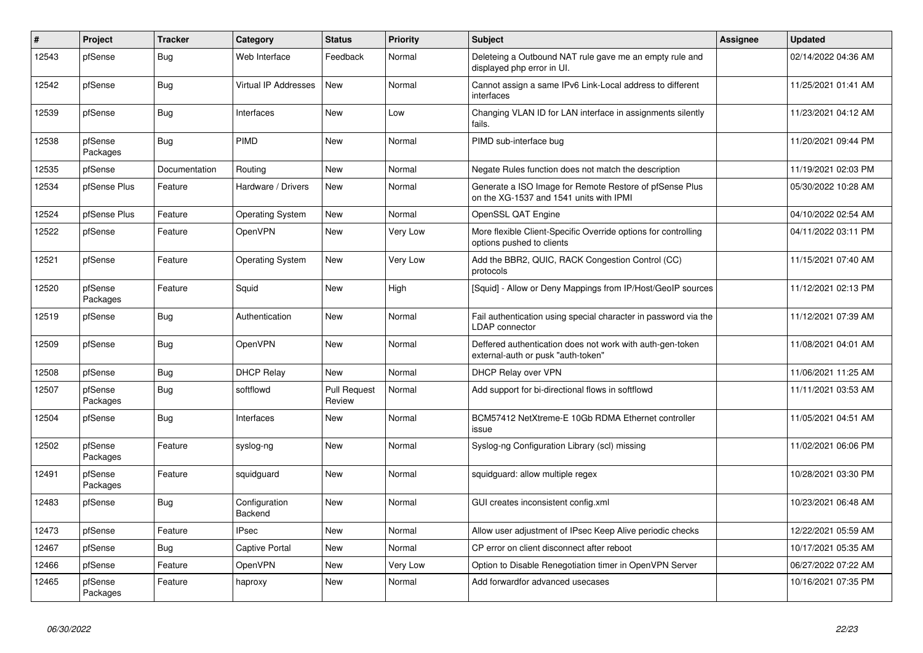| #     | Project             | <b>Tracker</b> | Category                    | <b>Status</b>                 | <b>Priority</b> | <b>Subject</b>                                                                                     | <b>Assignee</b> | <b>Updated</b>      |
|-------|---------------------|----------------|-----------------------------|-------------------------------|-----------------|----------------------------------------------------------------------------------------------------|-----------------|---------------------|
| 12543 | pfSense             | Bug            | Web Interface               | Feedback                      | Normal          | Deleteing a Outbound NAT rule gave me an empty rule and<br>displayed php error in UI.              |                 | 02/14/2022 04:36 AM |
| 12542 | pfSense             | <b>Bug</b>     | <b>Virtual IP Addresses</b> | <b>New</b>                    | Normal          | Cannot assign a same IPv6 Link-Local address to different<br>interfaces                            |                 | 11/25/2021 01:41 AM |
| 12539 | pfSense             | <b>Bug</b>     | Interfaces                  | <b>New</b>                    | Low             | Changing VLAN ID for LAN interface in assignments silently<br>fails.                               |                 | 11/23/2021 04:12 AM |
| 12538 | pfSense<br>Packages | Bug            | PIMD                        | New                           | Normal          | PIMD sub-interface bug                                                                             |                 | 11/20/2021 09:44 PM |
| 12535 | pfSense             | Documentation  | Routing                     | New                           | Normal          | Negate Rules function does not match the description                                               |                 | 11/19/2021 02:03 PM |
| 12534 | pfSense Plus        | Feature        | Hardware / Drivers          | New                           | Normal          | Generate a ISO Image for Remote Restore of pfSense Plus<br>on the XG-1537 and 1541 units with IPMI |                 | 05/30/2022 10:28 AM |
| 12524 | pfSense Plus        | Feature        | <b>Operating System</b>     | New                           | Normal          | OpenSSL QAT Engine                                                                                 |                 | 04/10/2022 02:54 AM |
| 12522 | pfSense             | Feature        | <b>OpenVPN</b>              | New                           | <b>Very Low</b> | More flexible Client-Specific Override options for controlling<br>options pushed to clients        |                 | 04/11/2022 03:11 PM |
| 12521 | pfSense             | Feature        | <b>Operating System</b>     | <b>New</b>                    | Very Low        | Add the BBR2, QUIC, RACK Congestion Control (CC)<br>protocols                                      |                 | 11/15/2021 07:40 AM |
| 12520 | pfSense<br>Packages | Feature        | Squid                       | New                           | High            | [Squid] - Allow or Deny Mappings from IP/Host/GeoIP sources                                        |                 | 11/12/2021 02:13 PM |
| 12519 | pfSense             | Bug            | Authentication              | New                           | Normal          | Fail authentication using special character in password via the<br><b>LDAP</b> connector           |                 | 11/12/2021 07:39 AM |
| 12509 | pfSense             | <b>Bug</b>     | <b>OpenVPN</b>              | New                           | Normal          | Deffered authentication does not work with auth-gen-token<br>external-auth or pusk "auth-token"    |                 | 11/08/2021 04:01 AM |
| 12508 | pfSense             | <b>Bug</b>     | <b>DHCP Relay</b>           | <b>New</b>                    | Normal          | DHCP Relay over VPN                                                                                |                 | 11/06/2021 11:25 AM |
| 12507 | pfSense<br>Packages | Bug            | softflowd                   | <b>Pull Request</b><br>Review | Normal          | Add support for bi-directional flows in softflowd                                                  |                 | 11/11/2021 03:53 AM |
| 12504 | pfSense             | Bug            | Interfaces                  | New                           | Normal          | BCM57412 NetXtreme-E 10Gb RDMA Ethernet controller<br>issue                                        |                 | 11/05/2021 04:51 AM |
| 12502 | pfSense<br>Packages | Feature        | syslog-ng                   | New                           | Normal          | Syslog-ng Configuration Library (scl) missing                                                      |                 | 11/02/2021 06:06 PM |
| 12491 | pfSense<br>Packages | Feature        | squidguard                  | New                           | Normal          | squidguard: allow multiple regex                                                                   |                 | 10/28/2021 03:30 PM |
| 12483 | pfSense             | Bug            | Configuration<br>Backend    | <b>New</b>                    | Normal          | GUI creates inconsistent config.xml                                                                |                 | 10/23/2021 06:48 AM |
| 12473 | pfSense             | Feature        | <b>IPsec</b>                | New                           | Normal          | Allow user adjustment of IPsec Keep Alive periodic checks                                          |                 | 12/22/2021 05:59 AM |
| 12467 | pfSense             | <b>Bug</b>     | Captive Portal              | New                           | Normal          | CP error on client disconnect after reboot                                                         |                 | 10/17/2021 05:35 AM |
| 12466 | pfSense             | Feature        | OpenVPN                     | New                           | Very Low        | Option to Disable Renegotiation timer in OpenVPN Server                                            |                 | 06/27/2022 07:22 AM |
| 12465 | pfSense<br>Packages | Feature        | haproxy                     | <b>New</b>                    | Normal          | Add forwardfor advanced usecases                                                                   |                 | 10/16/2021 07:35 PM |